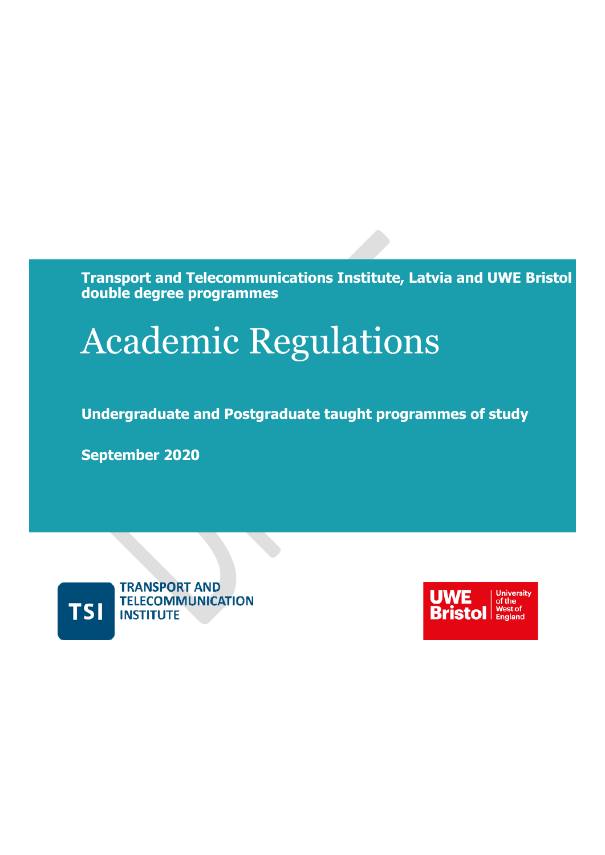**Transport and Telecommunications Institute, Latvia and UWE Bristol double degree programmes**

# Academic Regulations

**Undergraduate and Postgraduate taught programmes of study**

**September 2020**



**TRANSPORT AND TELECOMMUNICATION INSTITUTE** 

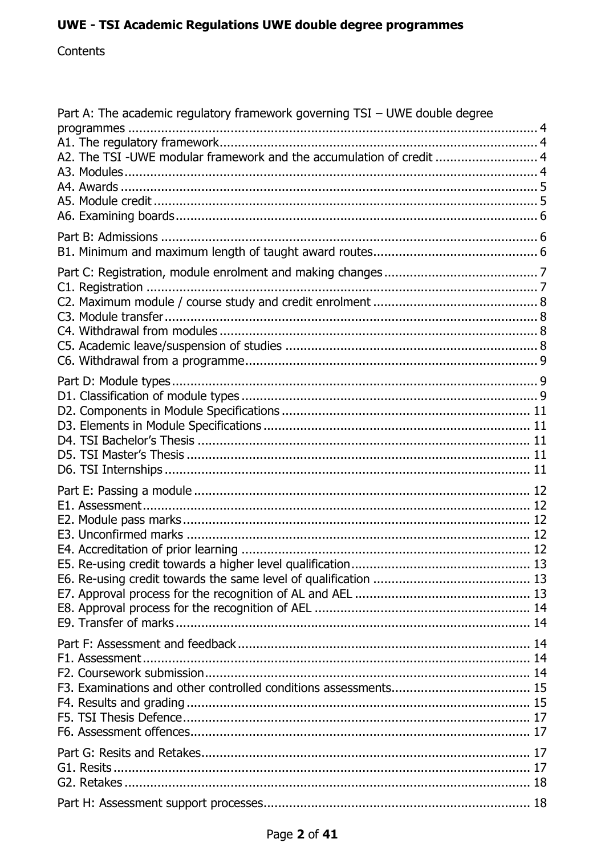## Contents

| Part A: The academic regulatory framework governing TSI - UWE double degree<br>A2. The TSI -UWE modular framework and the accumulation of credit  4 |  |
|-----------------------------------------------------------------------------------------------------------------------------------------------------|--|
|                                                                                                                                                     |  |
|                                                                                                                                                     |  |
|                                                                                                                                                     |  |
|                                                                                                                                                     |  |
|                                                                                                                                                     |  |
|                                                                                                                                                     |  |
|                                                                                                                                                     |  |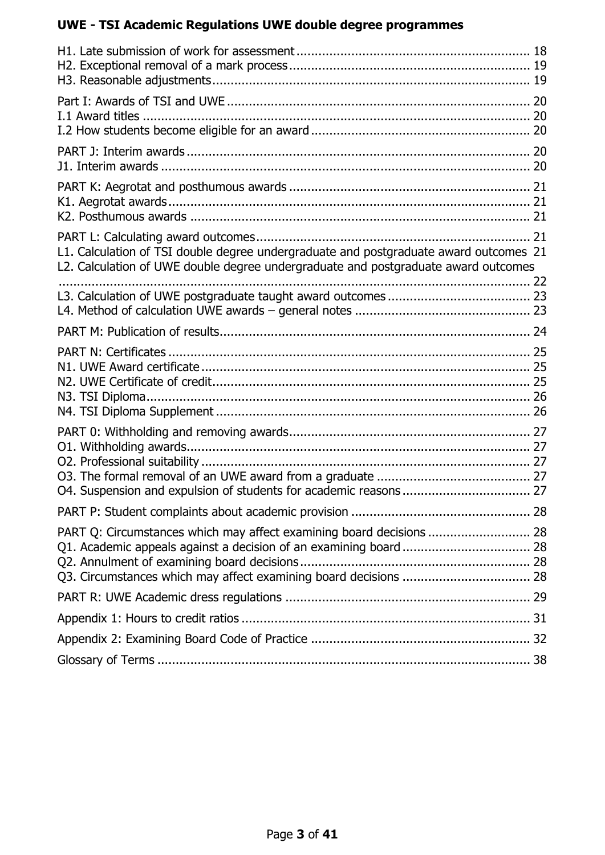| L1. Calculation of TSI double degree undergraduate and postgraduate award outcomes 21<br>L2. Calculation of UWE double degree undergraduate and postgraduate award outcomes                                   |  |
|---------------------------------------------------------------------------------------------------------------------------------------------------------------------------------------------------------------|--|
|                                                                                                                                                                                                               |  |
|                                                                                                                                                                                                               |  |
|                                                                                                                                                                                                               |  |
|                                                                                                                                                                                                               |  |
|                                                                                                                                                                                                               |  |
| PART Q: Circumstances which may affect examining board decisions  28<br>Q1. Academic appeals against a decision of an examining board  28<br>Q3. Circumstances which may affect examining board decisions  28 |  |
|                                                                                                                                                                                                               |  |
|                                                                                                                                                                                                               |  |
|                                                                                                                                                                                                               |  |
|                                                                                                                                                                                                               |  |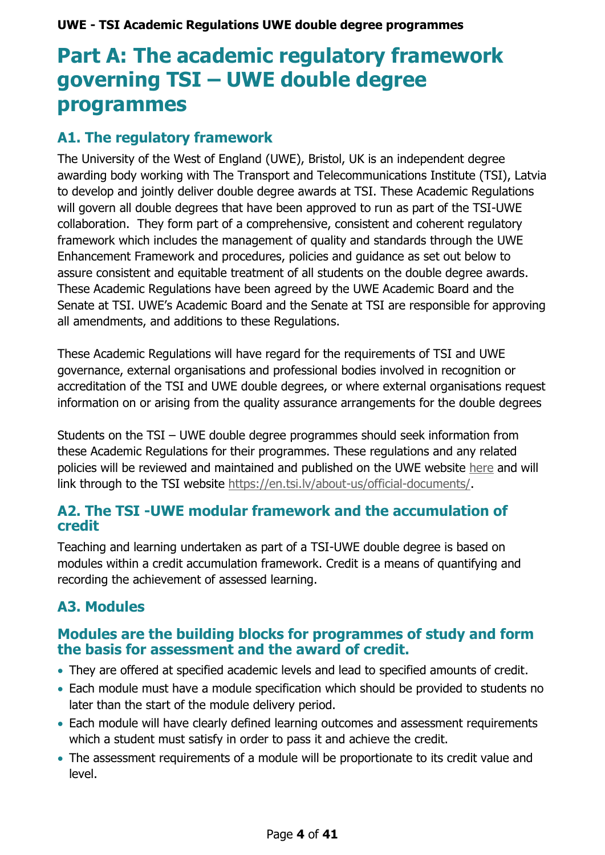## <span id="page-3-0"></span>**Part A: The academic regulatory framework governing TSI – UWE double degree programmes**

## <span id="page-3-1"></span>**A1. The regulatory framework**

The University of the West of England (UWE), Bristol, UK is an independent degree awarding body working with The Transport and Telecommunications Institute (TSI), Latvia to develop and jointly deliver double degree awards at TSI. These Academic Regulations will govern all double degrees that have been approved to run as part of the TSI-UWE collaboration. They form part of a comprehensive, consistent and coherent regulatory framework which includes the management of quality and standards through the UWE [Enhancement](http://www1.uwe.ac.uk/aboutus/departmentsandservices/professionalservices/corporateandacademicservice/quality/qualitymanagement.aspx) Framework and procedures, policies and guidance as set out below to assure consistent and equitable treatment of all students on the double degree awards. These Academic Regulations have been agreed by the UWE Academic Board and the Senate at TSI. UWE's Academic Board and the Senate at TSI are responsible for approving all amendments, and additions to these Regulations.

These Academic Regulations will have regard for the requirements of TSI and UWE governance, external organisations and professional bodies involved in recognition or accreditation of the TSI and UWE double degrees, or where external organisations request information on or arising from the quality assurance arrangements for the double degrees

Students on the TSI – UWE double degree programmes should seek information from these Academic Regulations for their programmes. These regulations and any related policies will be reviewed and maintained and published on the UWE website [here](https://www.uwe.ac.uk/study/academic-information/regulations-and-procedures) and will link through to the TSI website [https://en.tsi.lv/about-us/official-documents/.](https://en.tsi.lv/about-us/official-documents/)

## <span id="page-3-2"></span>**A2. The TSI -UWE modular framework and the accumulation of credit**

Teaching and learning undertaken as part of a TSI-UWE double degree is based on modules within a credit accumulation framework. Credit is a means of quantifying and recording the achievement of assessed learning.

## <span id="page-3-3"></span>**A3. Modules**

## **Modules are the building blocks for programmes of study and form the basis for assessment and the award of credit.**

- They are offered at specified academic levels and lead to specified amounts of credit.
- Each module must have a module specification which should be provided to students no later than the start of the module delivery period.
- Each module will have clearly defined learning outcomes and assessment requirements which a student must satisfy in order to pass it and achieve the credit.
- The assessment requirements of a module will be proportionate to its credit value and level.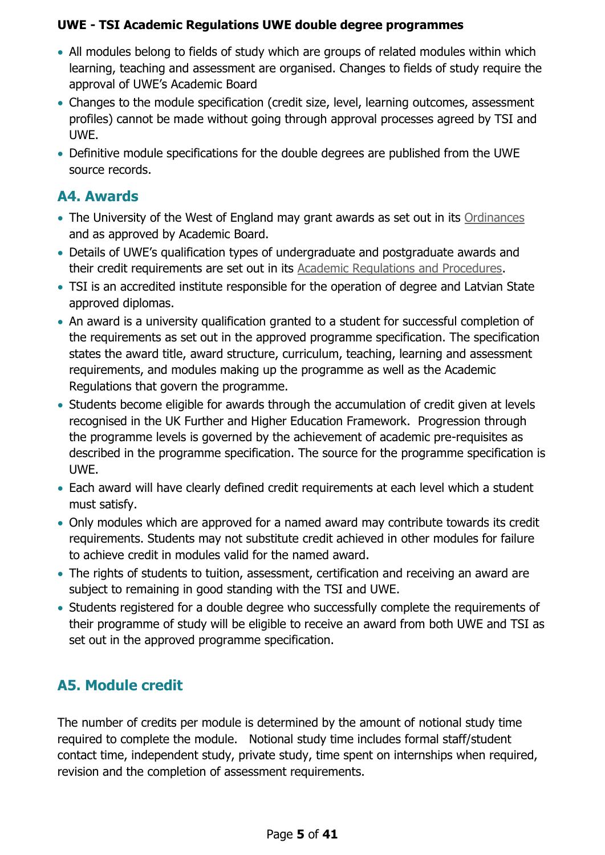- All modules belong to fields of study which are groups of related modules within which learning, teaching and assessment are organised. Changes to fields of study require the approval of UWE's Academic Board
- Changes to the module specification (credit size, level, learning outcomes, assessment profiles) cannot be made without going through approval processes agreed by TSI and UWE.
- Definitive module specifications for the double degrees are published from the UWE source records.

## <span id="page-4-0"></span>**A4. Awards**

- The University of the West of England may grant awards as set out in its [Ordinances](http://www2.uwe.ac.uk/services/Marketing/students/Student%20advice/University-Ordinances.pdf) and as approved by Academic Board.
- Details of UWE's qualification types of undergraduate and postgraduate awards and their credit requirements are set out in its [Academic Regulations and Procedures.](https://www.uwe.ac.uk/study/academic-information/regulations-and-procedures)
- TSI is an accredited institute responsible for the operation of degree and Latvian State approved diplomas.
- An award is a university qualification granted to a student for successful completion of the requirements as set out in the approved programme specification. The specification states the award title, award structure, curriculum, teaching, learning and assessment requirements, and modules making up the programme as well as the Academic Regulations that govern the programme.
- Students become eligible for awards through the accumulation of credit given at levels recognised in the UK Further and Higher Education Framework. Progression through the programme levels is governed by the achievement of academic pre-requisites as described in the programme specification. The source for the programme specification is UWE.
- Each award will have clearly defined credit requirements at each level which a student must satisfy.
- Only modules which are approved for a named award may contribute towards its credit requirements. Students may not substitute credit achieved in other modules for failure to achieve credit in modules valid for the named award.
- The rights of students to tuition, assessment, certification and receiving an award are subject to remaining in good standing with the TSI and UWE.
- Students registered for a double degree who successfully complete the requirements of their programme of study will be eligible to receive an award from both UWE and TSI as set out in the approved programme specification.

## <span id="page-4-1"></span>**A5. Module credit**

The number of credits per module is determined by the amount of notional study time required to complete the module. Notional study time includes formal staff/student contact time, independent study, private study, time spent on internships when required, revision and the completion of assessment requirements.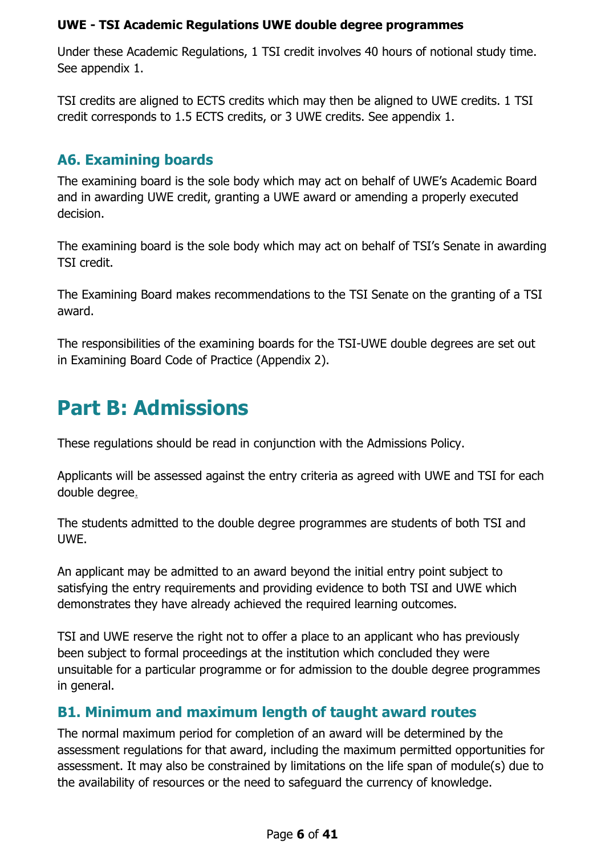Under these Academic Regulations, 1 TSI credit involves 40 hours of notional study time. See appendix 1.

TSI credits are aligned to ECTS credits which may then be aligned to UWE credits. 1 TSI credit corresponds to 1.5 ECTS credits, or 3 UWE credits. See appendix 1.

## <span id="page-5-0"></span>**A6. Examining boards**

The examining board is the sole body which may act on behalf of UWE's Academic Board and in awarding UWE credit, granting a UWE award or amending a properly executed decision.

The examining board is the sole body which may act on behalf of TSI's Senate in awarding TSI credit.

The Examining Board makes recommendations to the TSI Senate on the granting of a TSI award.

The responsibilities of the examining boards for the TSI-UWE double degrees are set out in Examining Board Code of Practice (Appendix 2).

## <span id="page-5-1"></span>**Part B: Admissions**

These regulations should be read in conjunction with the Admissions Policy.

Applicants will be assessed against the entry criteria as agreed with UWE and TSI for each double degree.

The students admitted to the double degree programmes are students of both TSI and UWE.

An applicant may be admitted to an award beyond the initial entry point subject to satisfying the entry requirements and providing evidence to both TSI and UWE which demonstrates they have already achieved the required learning outcomes.

TSI and UWE reserve the right not to offer a place to an applicant who has previously been subject to formal proceedings at the institution which concluded they were unsuitable for a particular programme or for admission to the double degree programmes in general.

## <span id="page-5-2"></span>**B1. Minimum and maximum length of taught award routes**

The normal maximum period for completion of an award will be determined by the assessment regulations for that award, including the maximum permitted opportunities for assessment. It may also be constrained by limitations on the life span of module(s) due to the availability of resources or the need to safeguard the currency of knowledge.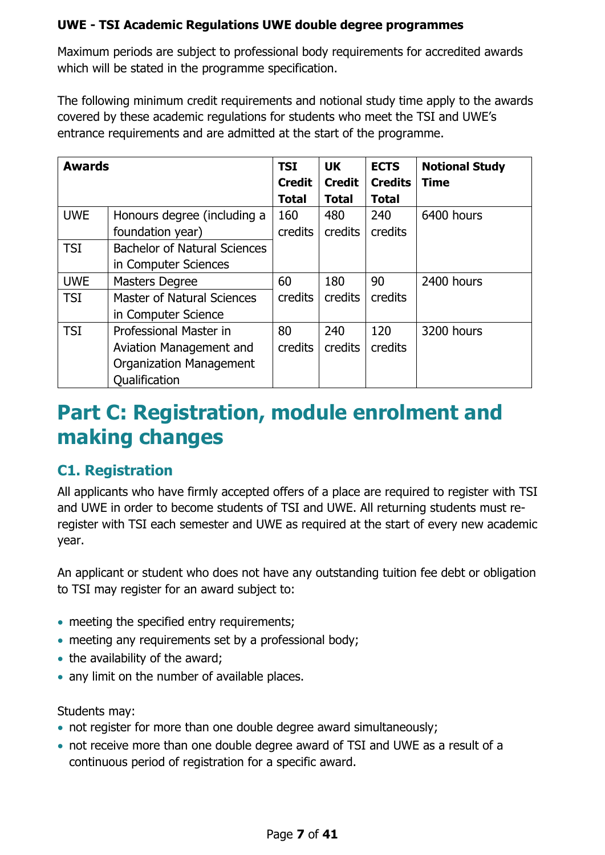Maximum periods are subject to professional body requirements for accredited awards which will be stated in the programme specification.

The following minimum credit requirements and notional study time apply to the awards covered by these academic regulations for students who meet the TSI and UWE's entrance requirements and are admitted at the start of the programme.

| <b>Awards</b>           |                                     | <b>TSI</b>    | <b>UK</b>     | <b>ECTS</b>    | <b>Notional Study</b> |
|-------------------------|-------------------------------------|---------------|---------------|----------------|-----------------------|
|                         |                                     | <b>Credit</b> | <b>Credit</b> | <b>Credits</b> | <b>Time</b>           |
|                         |                                     | <b>Total</b>  | <b>Total</b>  | <b>Total</b>   |                       |
| <b>UWE</b>              | Honours degree (including a         | 160           | 480           | 240            | 6400 hours            |
|                         | foundation year)                    | credits       | credits       | credits        |                       |
| <b>TSI</b>              | <b>Bachelor of Natural Sciences</b> |               |               |                |                       |
|                         | in Computer Sciences                |               |               |                |                       |
| <b>UWE</b>              | <b>Masters Degree</b>               | 60            | 180           | 90             | 2400 hours            |
| <b>TSI</b>              | <b>Master of Natural Sciences</b>   | credits       | credits       | credits        |                       |
|                         | in Computer Science                 |               |               |                |                       |
| <b>TSI</b>              | Professional Master in              |               | 240           | 120            | 3200 hours            |
| Aviation Management and |                                     | credits       | credits       | credits        |                       |
|                         | <b>Organization Management</b>      |               |               |                |                       |
|                         | Qualification                       |               |               |                |                       |

## <span id="page-6-0"></span>**Part C: Registration, module enrolment and making changes**

## <span id="page-6-1"></span>**C1. Registration**

All applicants who have firmly accepted offers of a place are required to register with TSI and UWE in order to become students of TSI and UWE. All returning students must reregister with TSI each semester and UWE as required at the start of every new academic year.

An applicant or student who does not have any outstanding tuition fee debt or obligation to TSI may register for an award subject to:

- meeting the specified entry requirements;
- meeting any requirements set by a professional body;
- the availability of the award;
- any limit on the number of available places.

Students may:

- not register for more than one double degree award simultaneously;
- not receive more than one double degree award of TSI and UWE as a result of a continuous period of registration for a specific award.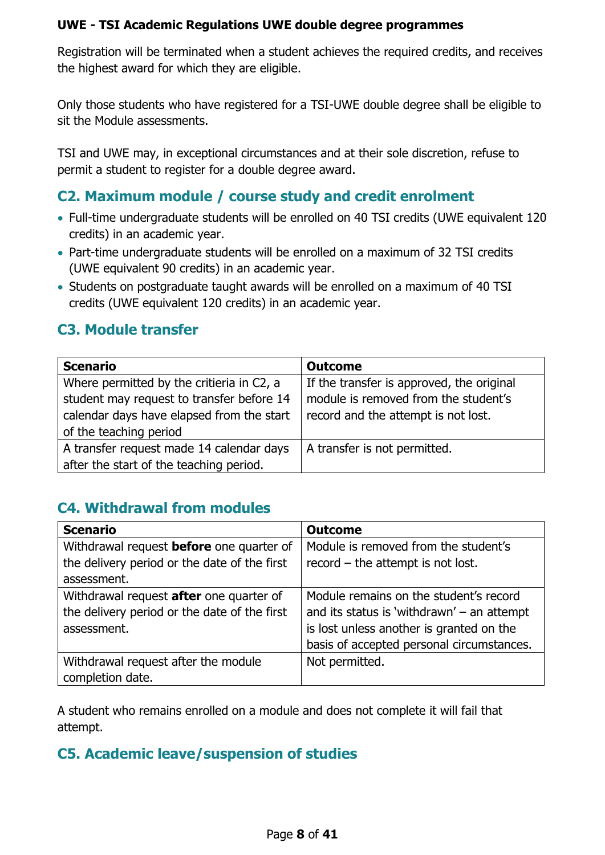Registration will be terminated when a student achieves the required credits, and receives the highest award for which they are eligible.

Only those students who have registered for a TSI-UWE double degree shall be eligible to sit the Module assessments.

TSI and UWE may, in exceptional circumstances and at their sole discretion, refuse to permit a student to register for a double degree award.

## <span id="page-7-0"></span>**C2. Maximum module / course study and credit enrolment**

- Full-time undergraduate students will be enrolled on 40 TSI credits (UWE equivalent 120 credits) in an academic year.
- Part-time undergraduate students will be enrolled on a maximum of 32 TSI credits (UWE equivalent 90 credits) in an academic year.
- Students on postgraduate taught awards will be enrolled on a maximum of 40 TSI credits (UWE equivalent 120 credits) in an academic year.

## <span id="page-7-1"></span>**C3. Module transfer**

| <b>Scenario</b>                           | <b>Outcome</b>                            |  |  |
|-------------------------------------------|-------------------------------------------|--|--|
| Where permitted by the critieria in C2, a | If the transfer is approved, the original |  |  |
| student may request to transfer before 14 | module is removed from the student's      |  |  |
| calendar days have elapsed from the start | record and the attempt is not lost.       |  |  |
| of the teaching period                    |                                           |  |  |
| A transfer request made 14 calendar days  | A transfer is not permitted.              |  |  |
| after the start of the teaching period.   |                                           |  |  |

## <span id="page-7-2"></span>**C4. Withdrawal from modules**

| <b>Scenario</b>                                 | <b>Outcome</b>                               |
|-------------------------------------------------|----------------------------------------------|
| Withdrawal request <b>before</b> one quarter of | Module is removed from the student's         |
| the delivery period or the date of the first    | $record$ – the attempt is not lost.          |
| assessment.                                     |                                              |
| Withdrawal request <b>after</b> one quarter of  | Module remains on the student's record       |
| the delivery period or the date of the first    | and its status is 'withdrawn' $-$ an attempt |
| assessment.                                     | is lost unless another is granted on the     |
|                                                 | basis of accepted personal circumstances.    |
| Withdrawal request after the module             | Not permitted.                               |
| completion date.                                |                                              |

A student who remains enrolled on a module and does not complete it will fail that attempt.

## <span id="page-7-3"></span>**C5. Academic leave/suspension of studies**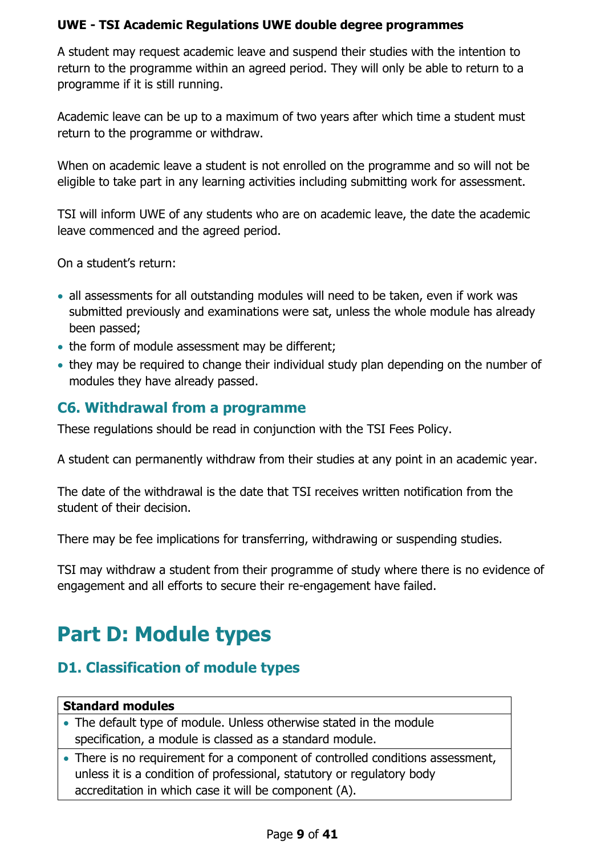A student may request academic leave and suspend their studies with the intention to return to the programme within an agreed period. They will only be able to return to a programme if it is still running.

Academic leave can be up to a maximum of two years after which time a student must return to the programme or withdraw.

When on academic leave a student is not enrolled on the programme and so will not be eligible to take part in any learning activities including submitting work for assessment.

TSI will inform UWE of any students who are on academic leave, the date the academic leave commenced and the agreed period.

On a student's return:

- all assessments for all outstanding modules will need to be taken, even if work was submitted previously and examinations were sat, unless the whole module has already been passed;
- the form of module assessment may be different;
- they may be required to change their individual study plan depending on the number of modules they have already passed.

## <span id="page-8-0"></span>**C6. Withdrawal from a programme**

These regulations should be read in conjunction with the TSI Fees Policy.

A student can permanently withdraw from their studies at any point in an academic year.

The date of the withdrawal is the date that TSI receives written notification from the student of their decision.

There may be fee implications for transferring, withdrawing or suspending studies.

TSI may withdraw a student from their programme of study where there is no evidence of engagement and all efforts to secure their re-engagement have failed.

## <span id="page-8-1"></span>**Part D: Module types**

## <span id="page-8-2"></span>**D1. Classification of module types**

## **Standard modules**

- The default type of module. Unless otherwise stated in the module specification, a module is classed as a standard module.
- There is no requirement for a component of controlled conditions assessment, unless it is a condition of professional, statutory or regulatory body accreditation in which case it will be component (A).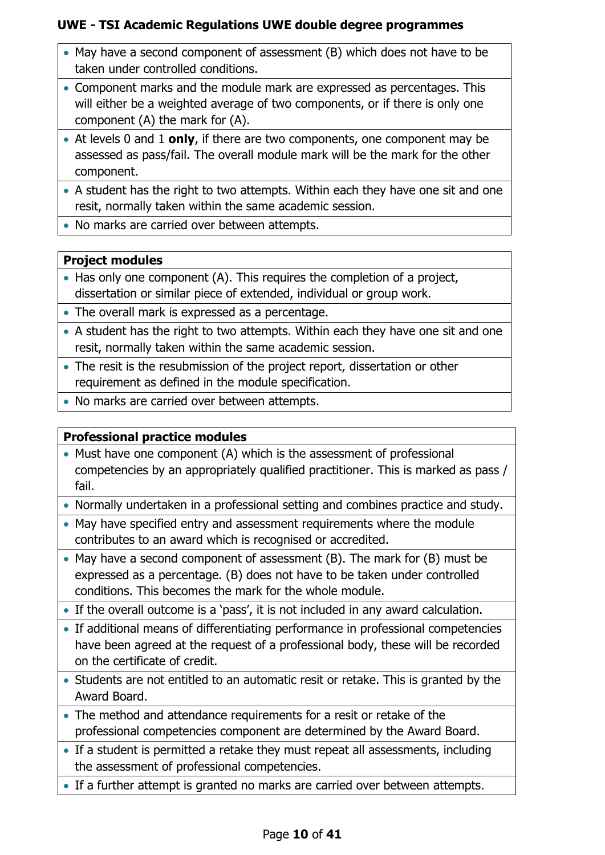- May have a second component of assessment (B) which does not have to be taken under controlled conditions.
- Component marks and the module mark are expressed as percentages. This will either be a weighted average of two components, or if there is only one component (A) the mark for (A).
- At levels 0 and 1 **only**, if there are two components, one component may be assessed as pass/fail. The overall module mark will be the mark for the other component.
- A student has the right to two attempts. Within each they have one sit and one resit, normally taken within the same academic session.
- No marks are carried over between attempts.

## **Project modules**

- Has only one component (A). This requires the completion of a project, dissertation or similar piece of extended, individual or group work.
- The overall mark is expressed as a percentage.
- A student has the right to two attempts. Within each they have one sit and one resit, normally taken within the same academic session.
- The resit is the resubmission of the project report, dissertation or other requirement as defined in the module specification.
- No marks are carried over between attempts.

## **Professional practice modules**

- Must have one component (A) which is the assessment of professional competencies by an appropriately qualified practitioner. This is marked as pass / fail.
- Normally undertaken in a professional setting and combines practice and study.
- May have specified entry and assessment requirements where the module contributes to an award which is recognised or accredited.
- May have a second component of assessment (B). The mark for (B) must be expressed as a percentage. (B) does not have to be taken under controlled conditions. This becomes the mark for the whole module.
- If the overall outcome is a 'pass', it is not included in any award calculation.
- If additional means of differentiating performance in professional competencies have been agreed at the request of a professional body, these will be recorded on the certificate of credit.
- Students are not entitled to an automatic resit or retake. This is granted by the Award Board.
- The method and attendance requirements for a resit or retake of the professional competencies component are determined by the Award Board.
- If a student is permitted a retake they must repeat all assessments, including the assessment of professional competencies.
- If a further attempt is granted no marks are carried over between attempts.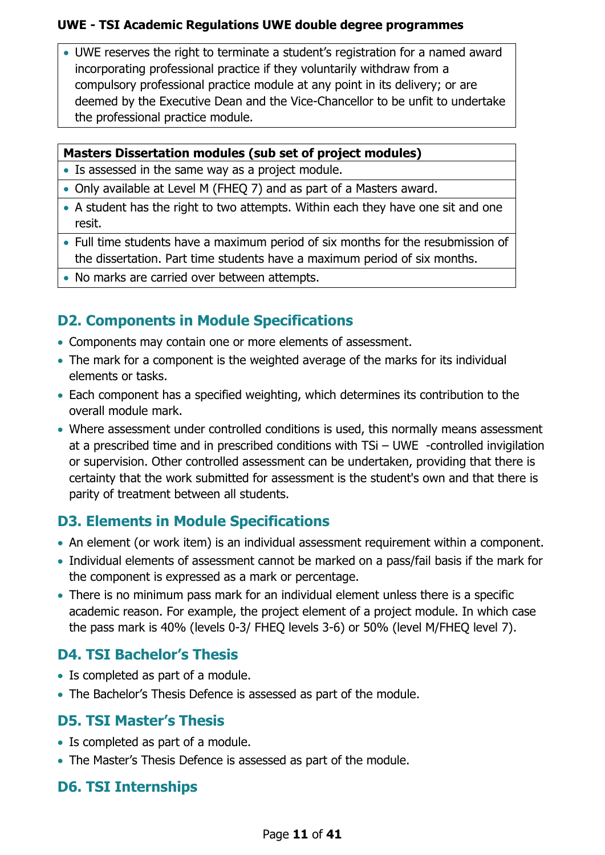• UWE reserves the right to terminate a student's registration for a named award incorporating professional practice if they voluntarily withdraw from a compulsory professional practice module at any point in its delivery; or are deemed by the Executive Dean and the Vice-Chancellor to be unfit to undertake the professional practice module.

## **Masters Dissertation modules (sub set of project modules)**

- Is assessed in the same way as a project module.
- Only available at Level M (FHEQ 7) and as part of a Masters award.
- A student has the right to two attempts. Within each they have one sit and one resit.
- Full time students have a maximum period of six months for the resubmission of the dissertation. Part time students have a maximum period of six months.
- No marks are carried over between attempts.

## <span id="page-10-0"></span>**D2. Components in Module Specifications**

- Components may contain one or more elements of assessment.
- The mark for a component is the weighted average of the marks for its individual elements or tasks.
- Each component has a specified weighting, which determines its contribution to the overall module mark.
- Where assessment under controlled conditions is used, this normally means assessment at a prescribed time and in prescribed conditions with TSi – UWE -controlled invigilation or supervision. Other controlled assessment can be undertaken, providing that there is certainty that the work submitted for assessment is the student's own and that there is parity of treatment between all students.

## <span id="page-10-1"></span>**D3. Elements in Module Specifications**

- An element (or work item) is an individual assessment requirement within a component.
- Individual elements of assessment cannot be marked on a pass/fail basis if the mark for the component is expressed as a mark or percentage.
- There is no minimum pass mark for an individual element unless there is a specific academic reason. For example, the project element of a project module. In which case the pass mark is 40% (levels 0-3/ FHEQ levels 3-6) or 50% (level M/FHEQ level 7).

## <span id="page-10-2"></span>**D4. TSI Bachelor's Thesis**

- Is completed as part of a module.
- The Bachelor's Thesis Defence is assessed as part of the module.

## <span id="page-10-3"></span>**D5. TSI Master's Thesis**

- Is completed as part of a module.
- The Master's Thesis Defence is assessed as part of the module.

## <span id="page-10-4"></span>**D6. TSI Internships**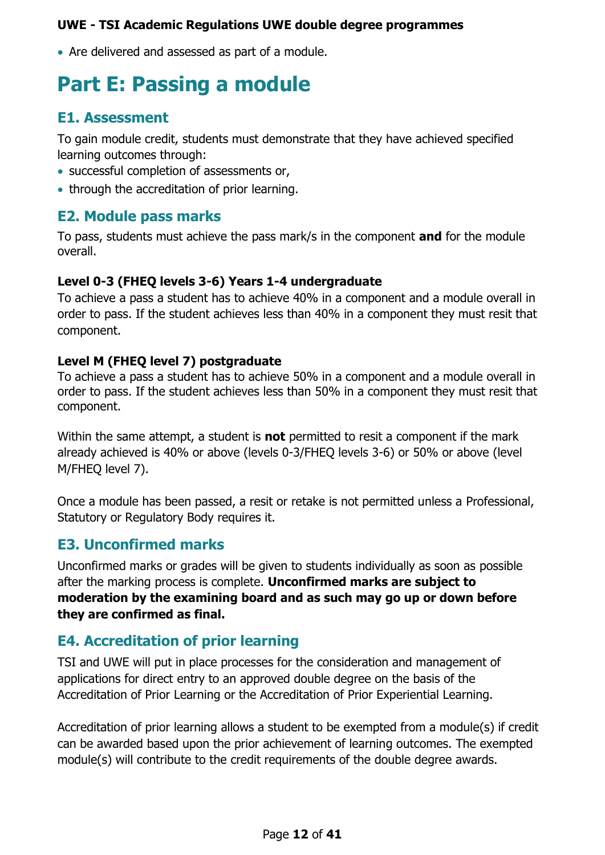• Are delivered and assessed as part of a module.

## <span id="page-11-0"></span>**Part E: Passing a module**

## <span id="page-11-1"></span>**E1. Assessment**

To gain module credit, students must demonstrate that they have achieved specified learning outcomes through:

- successful completion of assessments or,
- through the accreditation of prior learning.

## <span id="page-11-2"></span>**E2. Module pass marks**

To pass, students must achieve the pass mark/s in the component **and** for the module overall.

### **Level 0-3 (FHEQ levels 3-6) Years 1-4 undergraduate**

To achieve a pass a student has to achieve 40% in a component and a module overall in order to pass. If the student achieves less than 40% in a component they must resit that component.

## **Level M (FHEQ level 7) postgraduate**

To achieve a pass a student has to achieve 50% in a component and a module overall in order to pass. If the student achieves less than 50% in a component they must resit that component.

Within the same attempt, a student is **not** permitted to resit a component if the mark already achieved is 40% or above (levels 0-3/FHEQ levels 3-6) or 50% or above (level M/FHEQ level 7).

Once a module has been passed, a resit or retake is not permitted unless a Professional, Statutory or Regulatory Body requires it.

## <span id="page-11-3"></span>**E3. Unconfirmed marks**

Unconfirmed marks or grades will be given to students individually as soon as possible after the marking process is complete. **Unconfirmed marks are subject to moderation by the examining board and as such may go up or down before they are confirmed as final.**

## <span id="page-11-4"></span>**E4. Accreditation of prior learning**

TSI and UWE will put in place processes for the consideration and management of applications for direct entry to an approved double degree on the basis of the Accreditation of Prior Learning or the Accreditation of Prior Experiential Learning.

Accreditation of prior learning allows a student to be exempted from a module(s) if credit can be awarded based upon the prior achievement of learning outcomes. The exempted module(s) will contribute to the credit requirements of the double degree awards.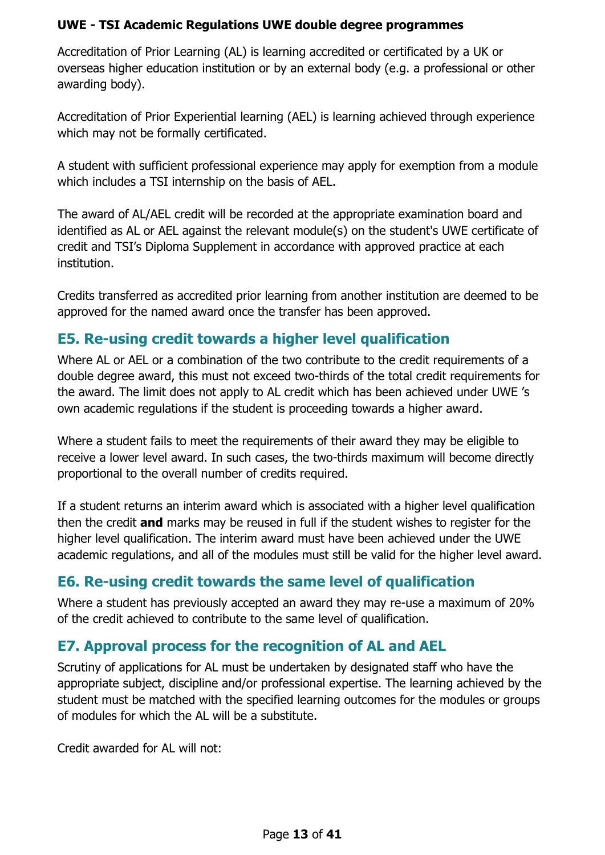Accreditation of Prior Learning (AL) is learning accredited or certificated by a UK or overseas higher education institution or by an external body (e.g. a professional or other awarding body).

Accreditation of Prior Experiential learning (AEL) is learning achieved through experience which may not be formally certificated.

A student with sufficient professional experience may apply for exemption from a module which includes a TSI internship on the basis of AEL.

The award of AL/AEL credit will be recorded at the appropriate examination board and identified as AL or AEL against the relevant module(s) on the student's UWE certificate of credit and TSI's Diploma Supplement in accordance with approved practice at each institution.

Credits transferred as accredited prior learning from another institution are deemed to be approved for the named award once the transfer has been approved.

## <span id="page-12-0"></span>**E5. Re-using credit towards a higher level qualification**

Where AL or AEL or a combination of the two contribute to the credit requirements of a double degree award, this must not exceed two-thirds of the total credit requirements for the award. The limit does not apply to AL credit which has been achieved under UWE 's own academic regulations if the student is proceeding towards a higher award.

Where a student fails to meet the requirements of their award they may be eligible to receive a lower level award. In such cases, the two-thirds maximum will become directly proportional to the overall number of credits required.

If a student returns an interim award which is associated with a higher level qualification then the credit **and** marks may be reused in full if the student wishes to register for the higher level qualification. The interim award must have been achieved under the UWE academic regulations, and all of the modules must still be valid for the higher level award.

## <span id="page-12-1"></span>**E6. Re-using credit towards the same level of qualification**

Where a student has previously accepted an award they may re-use a maximum of 20% of the credit achieved to contribute to the same level of qualification.

## <span id="page-12-2"></span>**E7. Approval process for the recognition of AL and AEL**

Scrutiny of applications for AL must be undertaken by designated staff who have the appropriate subject, discipline and/or professional expertise. The learning achieved by the student must be matched with the specified learning outcomes for the modules or groups of modules for which the AL will be a substitute.

Credit awarded for AL will not: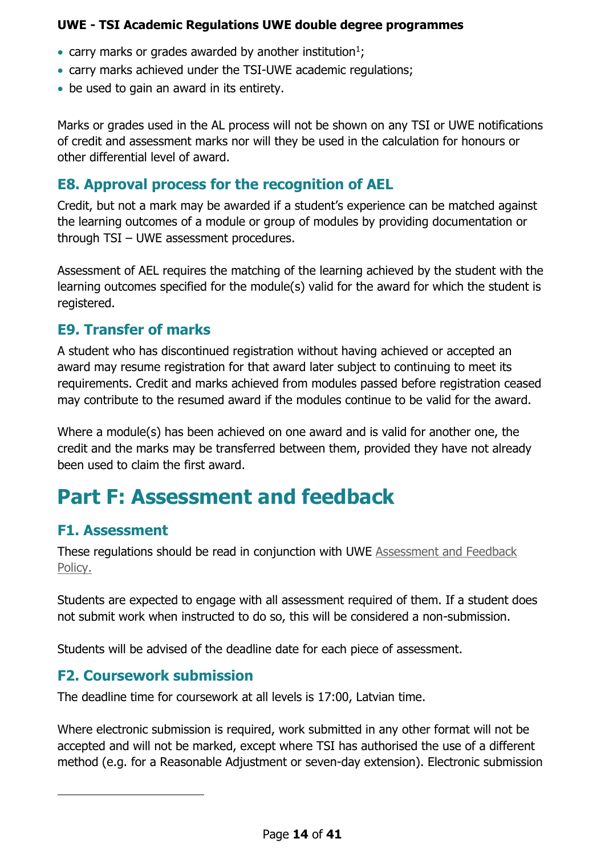- carry marks or grades awarded by another institution<sup>1</sup>;
- carry marks achieved under the TSI-UWE academic regulations;
- be used to gain an award in its entirety.

Marks or grades used in the AL process will not be shown on any TSI or UWE notifications of credit and assessment marks nor will they be used in the calculation for honours or other differential level of award.

## <span id="page-13-0"></span>**E8. Approval process for the recognition of AEL**

Credit, but not a mark may be awarded if a student's experience can be matched against the learning outcomes of a module or group of modules by providing documentation or through TSI – UWE assessment procedures.

Assessment of AEL requires the matching of the learning achieved by the student with the learning outcomes specified for the module(s) valid for the award for which the student is registered.

## <span id="page-13-1"></span>**E9. Transfer of marks**

A student who has discontinued registration without having achieved or accepted an award may resume registration for that award later subject to continuing to meet its requirements. Credit and marks achieved from modules passed before registration ceased may contribute to the resumed award if the modules continue to be valid for the award.

Where a module(s) has been achieved on one award and is valid for another one, the credit and the marks may be transferred between them, provided they have not already been used to claim the first award.

## <span id="page-13-2"></span>**Part F: Assessment and feedback**

## <span id="page-13-3"></span>**F1. Assessment**

1

These regulations should be read in conjunction with UWE [Assessment and Feedback](https://www.uwe.ac.uk/about/structure-and-governance/policies/assessment-and-feedback-policy)  [Policy.](https://www.uwe.ac.uk/about/structure-and-governance/policies/assessment-and-feedback-policy)

Students are expected to engage with all assessment required of them. If a student does not submit work when instructed to do so, this will be considered a non-submission.

Students will be advised of the deadline date for each piece of assessment.

## <span id="page-13-4"></span>**F2. Coursework submission**

The deadline time for coursework at all levels is 17:00, Latvian time.

Where electronic submission is required, work submitted in any other format will not be accepted and will not be marked, except where TSI has authorised the use of a different method (e.g. for a Reasonable Adjustment or seven-day extension). Electronic submission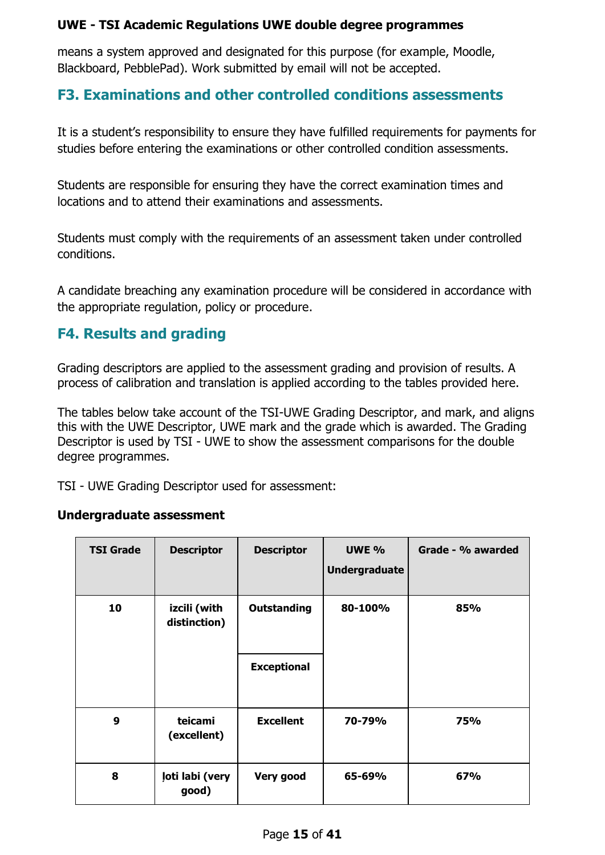means a system approved and designated for this purpose (for example, Moodle, Blackboard, PebblePad). Work submitted by email will not be accepted.

## <span id="page-14-0"></span>**F3. Examinations and other controlled conditions assessments**

It is a student's responsibility to ensure they have fulfilled requirements for payments for studies before entering the examinations or other controlled condition assessments.

Students are responsible for ensuring they have the correct examination times and locations and to attend their examinations and assessments.

Students must comply with the requirements of an assessment taken under controlled conditions.

A candidate breaching any examination procedure will be considered in accordance with the appropriate regulation, policy or procedure.

## <span id="page-14-1"></span>**F4. Results and grading**

Grading descriptors are applied to the assessment grading and provision of results. A process of calibration and translation is applied according to the tables provided here.

The tables below take account of the TSI-UWE Grading Descriptor, and mark, and aligns this with the UWE Descriptor, UWE mark and the grade which is awarded. The Grading Descriptor is used by TSI - UWE to show the assessment comparisons for the double degree programmes.

TSI - UWE Grading Descriptor used for assessment:

#### **Undergraduate assessment**

| <b>TSI Grade</b> | <b>Descriptor</b>            | <b>Descriptor</b>  | <b>UWE %</b><br><b>Undergraduate</b> | Grade - % awarded |
|------------------|------------------------------|--------------------|--------------------------------------|-------------------|
| 10               | izcili (with<br>distinction) | <b>Outstanding</b> | 80-100%                              | 85%               |
|                  |                              | <b>Exceptional</b> |                                      |                   |
| 9                | teicami<br>(excellent)       | <b>Excellent</b>   | 70-79%                               | 75%               |
| 8                | ļoti labi (very<br>good)     | Very good          | 65-69%                               | 67%               |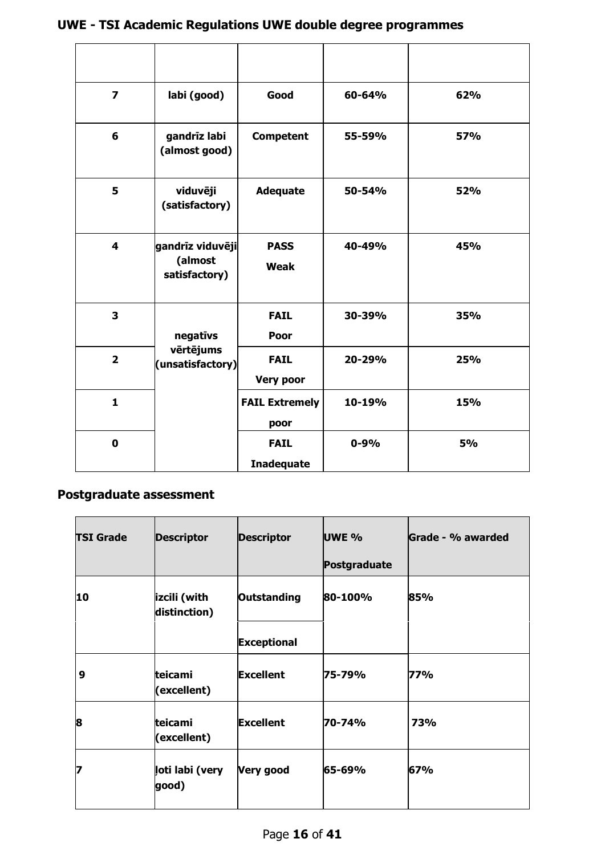| $\overline{\mathbf{z}}$ | labi (good)                                  | Good                             | 60-64%   | 62%        |
|-------------------------|----------------------------------------------|----------------------------------|----------|------------|
| 6                       | gandrīz labi<br>(almost good)                | <b>Competent</b>                 | 55-59%   | <b>57%</b> |
| 5                       | viduvēji<br>(satisfactory)                   | <b>Adequate</b>                  | 50-54%   | 52%        |
| 4                       | gandrīz viduvēji<br>(almost<br>satisfactory) | <b>PASS</b><br><b>Weak</b>       | 40-49%   | 45%        |
| 3                       | negatīvs                                     | <b>FAIL</b><br>Poor              | 30-39%   | 35%        |
| $\overline{2}$          | vērtējums<br>(unsatisfactory)                | <b>FAIL</b><br><b>Very poor</b>  | 20-29%   | 25%        |
| 1                       |                                              | <b>FAIL Extremely</b><br>poor    | 10-19%   | <b>15%</b> |
| $\mathbf 0$             |                                              | <b>FAIL</b><br><b>Inadequate</b> | $0 - 9%$ | <b>5%</b>  |

## **Postgraduate assessment**

| <b>TSI Grade</b> | <b>Descriptor</b>            | <b>Descriptor</b>                 | <b>UWE %</b><br>Postgraduate | Grade - % awarded |
|------------------|------------------------------|-----------------------------------|------------------------------|-------------------|
| 10               | izcili (with<br>distinction) | Outstanding<br><b>Exceptional</b> | 80-100%                      | 85%               |
| 9                | teicami<br>(excellent)       | <b>Excellent</b>                  | 75-79%                       | 77%               |
| 8                | teicami<br>(excellent)       | <b>Excellent</b>                  | 70-74%                       | 73%               |
| 7                | ļoti labi (very<br>good)     | <b>Very good</b>                  | 65-69%                       | 67%               |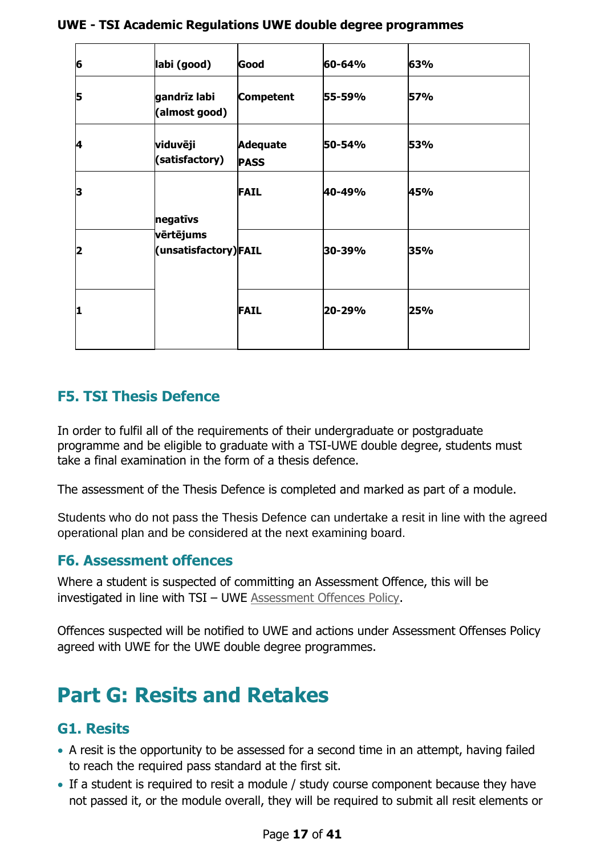| 6  | labi (good)                                   | Good                           | 60-64% | 63% |
|----|-----------------------------------------------|--------------------------------|--------|-----|
| 5  | gandrīz labi<br>(almost good)                 | <b>Competent</b>               | 55-59% | 57% |
| 4  | viduvēji<br>(satisfactory)                    | <b>Adequate</b><br><b>PASS</b> | 50-54% | 53% |
| З  |                                               | <b>FAIL</b>                    | 40-49% | 45% |
| 12 | negatīvs<br>vērtējums<br>(unsatisfactory)FAIL |                                | 30-39% | 35% |
| 1  |                                               | <b>FAIL</b>                    | 20-29% | 25% |

## <span id="page-16-0"></span>**F5. TSI Thesis Defence**

In order to fulfil all of the requirements of their undergraduate or postgraduate programme and be eligible to graduate with a TSI-UWE double degree, students must take a final examination in the form of a thesis defence.

The assessment of the Thesis Defence is completed and marked as part of a module.

Students who do not pass the Thesis Defence can undertake a resit in line with the agreed operational plan and be considered at the next examining board.

## <span id="page-16-1"></span>**F6. Assessment offences**

Where a student is suspected of committing an Assessment Offence, this will be investigated in line with TSI – UWE [Assessment Offences Policy.](http://www1.uwe.ac.uk/students/academicadvice/assessments/assessmentoffences.aspx)

Offences suspected will be notified to UWE and actions under Assessment Offenses Policy agreed with UWE for the UWE double degree programmes.

## <span id="page-16-2"></span>**Part G: Resits and Retakes**

## <span id="page-16-3"></span>**G1. Resits**

- A resit is the opportunity to be assessed for a second time in an attempt, having failed to reach the required pass standard at the first sit.
- If a student is required to resit a module / study course component because they have not passed it, or the module overall, they will be required to submit all resit elements or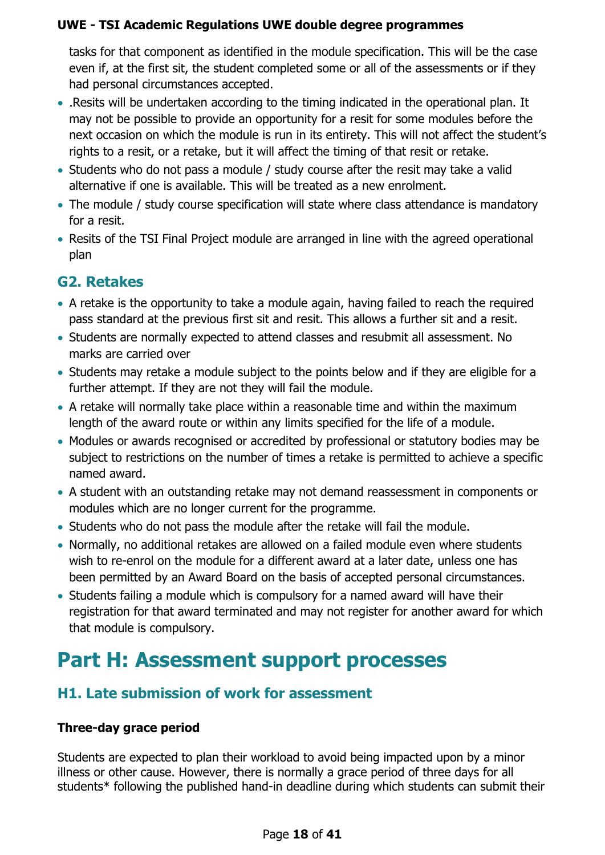tasks for that component as identified in the module specification. This will be the case even if, at the first sit, the student completed some or all of the assessments or if they had personal circumstances accepted.

- .Resits will be undertaken according to the timing indicated in the operational plan. It may not be possible to provide an opportunity for a resit for some modules before the next occasion on which the module is run in its entirety. This will not affect the student's rights to a resit, or a retake, but it will affect the timing of that resit or retake.
- Students who do not pass a module / study course after the resit may take a valid alternative if one is available. This will be treated as a new enrolment.
- The module / study course specification will state where class attendance is mandatory for a resit.
- Resits of the TSI Final Project module are arranged in line with the agreed operational plan

## <span id="page-17-0"></span>**G2. Retakes**

- A retake is the opportunity to take a module again, having failed to reach the required pass standard at the previous first sit and resit. This allows a further sit and a resit.
- Students are normally expected to attend classes and resubmit all assessment. No marks are carried over
- Students may retake a module subject to the points below and if they are eligible for a further attempt. If they are not they will fail the module.
- A retake will normally take place within a reasonable time and within the maximum length of the award route or within any limits specified for the life of a module.
- Modules or awards recognised or accredited by professional or statutory bodies may be subject to restrictions on the number of times a retake is permitted to achieve a specific named award.
- A student with an outstanding retake may not demand reassessment in components or modules which are no longer current for the programme.
- Students who do not pass the module after the retake will fail the module.
- Normally, no additional retakes are allowed on a failed module even where students wish to re-enrol on the module for a different award at a later date, unless one has been permitted by an Award Board on the basis of accepted personal circumstances.
- Students failing a module which is compulsory for a named award will have their registration for that award terminated and may not register for another award for which that module is compulsory.

## <span id="page-17-1"></span>**Part H: Assessment support processes**

## <span id="page-17-2"></span>**H1. Late submission of work for assessment**

## **Three-day grace period**

Students are expected to plan their workload to avoid being impacted upon by a minor illness or other cause. However, there is normally a grace period of three days for all students\* following the published hand-in deadline during which students can submit their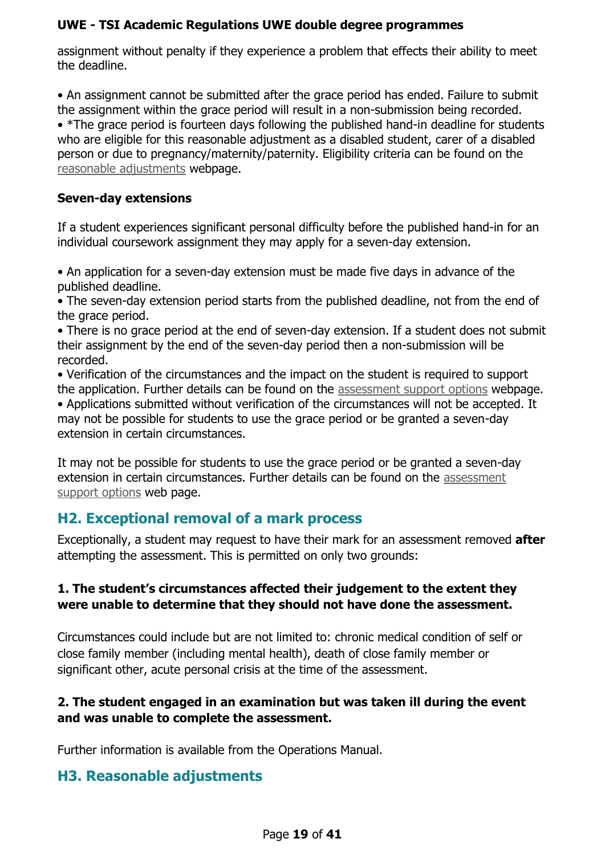assignment without penalty if they experience a problem that effects their ability to meet the deadline.

• An assignment cannot be submitted after the grace period has ended. Failure to submit the assignment within the grace period will result in a non-submission being recorded. • \*The grace period is fourteen days following the published hand-in deadline for students who are eligible for this reasonable adjustment as a disabled student, carer of a disabled person or due to pregnancy/maternity/paternity. Eligibility criteria can be found on the [reasonable adjustments](https://www.uwe.ac.uk/life/health-and-wellbeing/get-disability-support/reasonable-adjustment) webpage.

#### **Seven-day extensions**

If a student experiences significant personal difficulty before the published hand-in for an individual coursework assignment they may apply for a seven-day extension.

• An application for a seven-day extension must be made five days in advance of the published deadline.

• The seven-day extension period starts from the published deadline, not from the end of the grace period.

• There is no grace period at the end of seven-day extension. If a student does not submit their assignment by the end of the seven-day period then a non-submission will be recorded.

• Verification of the circumstances and the impact on the student is required to support the application. Further details can be found on the [assessment support options](https://www.uwe.ac.uk/study/academic-information/personal-circumstances) webpage. • Applications submitted without verification of the circumstances will not be accepted. It may not be possible for students to use the grace period or be granted a seven-day

extension in certain circumstances.

It may not be possible for students to use the grace period or be granted a seven-day extension in certain circumstances. Further details can be found on the [assessment](https://www.uwe.ac.uk/study/academic-information/personal-circumstances)  [support options](https://www.uwe.ac.uk/study/academic-information/personal-circumstances) web page.

## <span id="page-18-0"></span>**H2. Exceptional removal of a mark process**

Exceptionally, a student may request to have their mark for an assessment removed **after**  attempting the assessment. This is permitted on only two grounds:

## **1. The student's circumstances affected their judgement to the extent they were unable to determine that they should not have done the assessment.**

Circumstances could include but are not limited to: chronic medical condition of self or close family member (including mental health), death of close family member or significant other, acute personal crisis at the time of the assessment.

## **2. The student engaged in an examination but was taken ill during the event and was unable to complete the assessment.**

Further information is available from the Operations Manual.

## <span id="page-18-1"></span>**H3. Reasonable adjustments**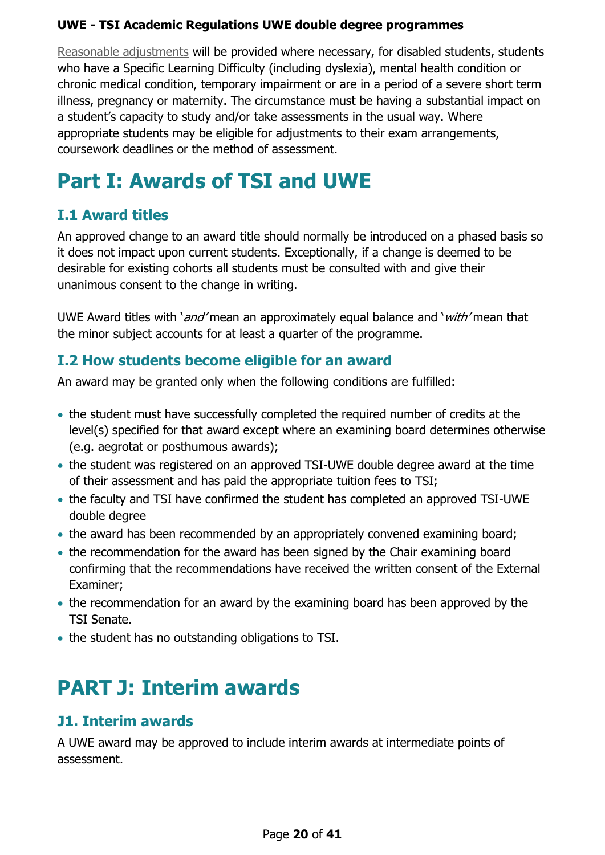[Reasonable adjustments](http://www1.uwe.ac.uk/students/studysupport/disabilityservice/reasonableadjustments.aspx) will be provided where necessary, for disabled students, students who have a Specific Learning Difficulty (including dyslexia), mental health condition or chronic medical condition, temporary impairment or are in a period of a severe short term illness, pregnancy or maternity. The circumstance must be having a substantial impact on a student's capacity to study and/or take assessments in the usual way. Where appropriate students may be eligible for adjustments to their exam arrangements, coursework deadlines or the method of assessment.

## <span id="page-19-0"></span>**Part I: Awards of TSI and UWE**

## <span id="page-19-1"></span>**I.1 Award titles**

An approved change to an award title should normally be introduced on a phased basis so it does not impact upon current students. Exceptionally, if a change is deemed to be desirable for existing cohorts all students must be consulted with and give their unanimous consent to the change in writing.

UWE Award titles with '*and'* mean an approximately equal balance and '*with'* mean that the minor subject accounts for at least a quarter of the programme.

## <span id="page-19-2"></span>**I.2 How students become eligible for an award**

An award may be granted only when the following conditions are fulfilled:

- the student must have successfully completed the required number of credits at the level(s) specified for that award except where an examining board determines otherwise (e.g. aegrotat or posthumous awards);
- the student was registered on an approved TSI-UWE double degree award at the time of their assessment and has paid the appropriate tuition fees to TSI;
- the faculty and TSI have confirmed the student has completed an approved TSI-UWE double degree
- the award has been recommended by an appropriately convened examining board;
- the recommendation for the award has been signed by the Chair examining board confirming that the recommendations have received the written consent of the External Examiner;
- the recommendation for an award by the examining board has been approved by the TSI Senate.
- the student has no outstanding obligations to TSI.

## <span id="page-19-3"></span>**PART J: Interim awards**

## <span id="page-19-4"></span>**J1. Interim awards**

A UWE award may be approved to include interim awards at intermediate points of assessment.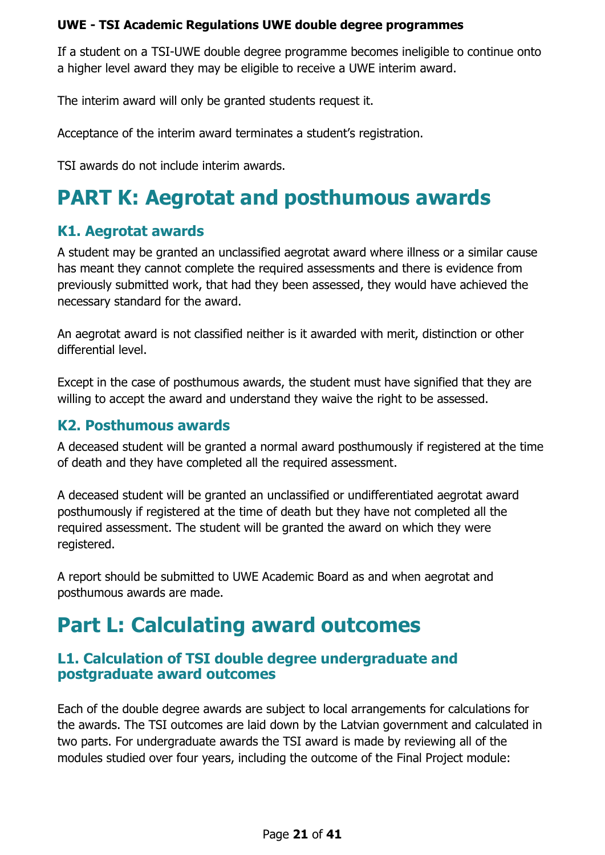If a student on a TSI-UWE double degree programme becomes ineligible to continue onto a higher level award they may be eligible to receive a UWE interim award.

The interim award will only be granted students request it.

Acceptance of the interim award terminates a student's registration.

TSI awards do not include interim awards.

## <span id="page-20-0"></span>**PART K: Aegrotat and posthumous awards**

## <span id="page-20-1"></span>**K1. Aegrotat awards**

A student may be granted an unclassified aegrotat award where illness or a similar cause has meant they cannot complete the required assessments and there is evidence from previously submitted work, that had they been assessed, they would have achieved the necessary standard for the award.

An aegrotat award is not classified neither is it awarded with merit, distinction or other differential level.

Except in the case of posthumous awards, the student must have signified that they are willing to accept the award and understand they waive the right to be assessed.

## <span id="page-20-2"></span>**K2. Posthumous awards**

A deceased student will be granted a normal award posthumously if registered at the time of death and they have completed all the required assessment.

A deceased student will be granted an unclassified or undifferentiated aegrotat award posthumously if registered at the time of death but they have not completed all the required assessment. The student will be granted the award on which they were registered.

A report should be submitted to UWE Academic Board as and when aegrotat and posthumous awards are made.

## <span id="page-20-3"></span>**Part L: Calculating award outcomes**

## <span id="page-20-4"></span>**L1. Calculation of TSI double degree undergraduate and postgraduate award outcomes**

Each of the double degree awards are subject to local arrangements for calculations for the awards. The TSI outcomes are laid down by the Latvian government and calculated in two parts. For undergraduate awards the TSI award is made by reviewing all of the modules studied over four years, including the outcome of the Final Project module: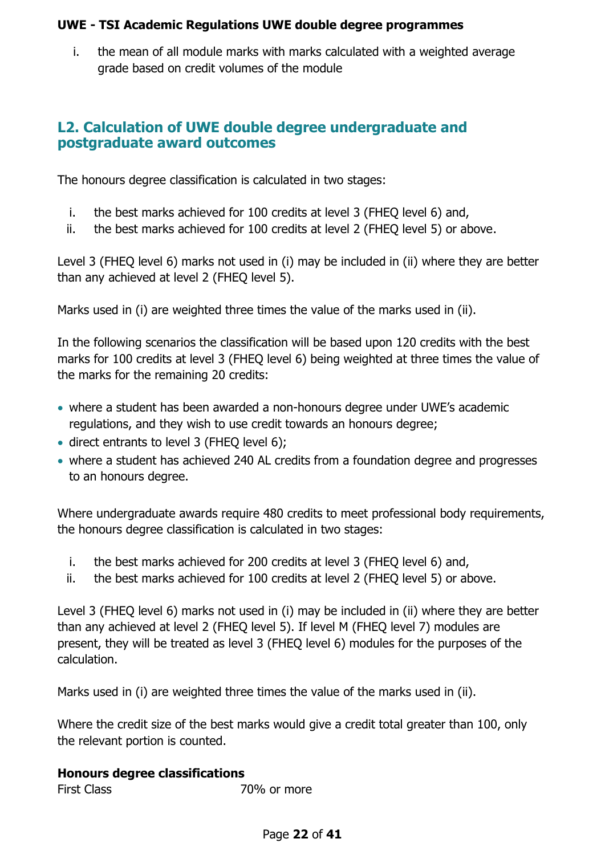i. the mean of all module marks with marks calculated with a weighted average grade based on credit volumes of the module

## <span id="page-21-0"></span>**L2. Calculation of UWE double degree undergraduate and postgraduate award outcomes**

The honours degree classification is calculated in two stages:

- i. the best marks achieved for 100 credits at level 3 (FHEQ level 6) and,
- ii. the best marks achieved for 100 credits at level 2 (FHEQ level 5) or above.

Level 3 (FHEQ level 6) marks not used in (i) may be included in (ii) where they are better than any achieved at level 2 (FHEQ level 5).

Marks used in (i) are weighted three times the value of the marks used in (ii).

In the following scenarios the classification will be based upon 120 credits with the best marks for 100 credits at level 3 (FHEQ level 6) being weighted at three times the value of the marks for the remaining 20 credits:

- where a student has been awarded a non-honours degree under UWE's academic regulations, and they wish to use credit towards an honours degree;
- direct entrants to level 3 (FHEQ level 6);
- where a student has achieved 240 AL credits from a foundation degree and progresses to an honours degree.

Where undergraduate awards require 480 credits to meet professional body requirements, the honours degree classification is calculated in two stages:

- i. the best marks achieved for 200 credits at level 3 (FHEQ level 6) and,
- ii. the best marks achieved for 100 credits at level 2 (FHEQ level 5) or above.

Level 3 (FHEQ level 6) marks not used in (i) may be included in (ii) where they are better than any achieved at level 2 (FHEQ level 5). If level M (FHEQ level 7) modules are present, they will be treated as level 3 (FHEQ level 6) modules for the purposes of the calculation.

Marks used in (i) are weighted three times the value of the marks used in (ii).

Where the credit size of the best marks would give a credit total greater than 100, only the relevant portion is counted.

#### **Honours degree classifications**

 $70%$  or more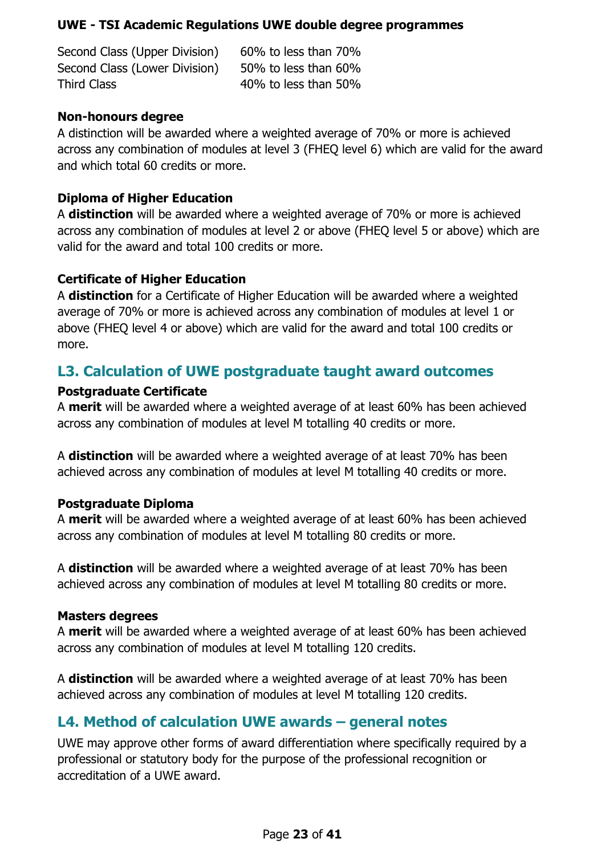Second Class (Upper Division) 60% to less than 70% Second Class (Lower Division) 50% to less than 60% Third Class 40% to less than 50%

#### **Non-honours degree**

A distinction will be awarded where a weighted average of 70% or more is achieved across any combination of modules at level 3 (FHEQ level 6) which are valid for the award and which total 60 credits or more.

### **Diploma of Higher Education**

A **distinction** will be awarded where a weighted average of 70% or more is achieved across any combination of modules at level 2 or above (FHEQ level 5 or above) which are valid for the award and total 100 credits or more.

### **Certificate of Higher Education**

A **distinction** for a Certificate of Higher Education will be awarded where a weighted average of 70% or more is achieved across any combination of modules at level 1 or above (FHEQ level 4 or above) which are valid for the award and total 100 credits or more.

## <span id="page-22-0"></span>**L3. Calculation of UWE postgraduate taught award outcomes**

#### **Postgraduate Certificate**

A **merit** will be awarded where a weighted average of at least 60% has been achieved across any combination of modules at level M totalling 40 credits or more.

A **distinction** will be awarded where a weighted average of at least 70% has been achieved across any combination of modules at level M totalling 40 credits or more.

#### **Postgraduate Diploma**

A **merit** will be awarded where a weighted average of at least 60% has been achieved across any combination of modules at level M totalling 80 credits or more.

A **distinction** will be awarded where a weighted average of at least 70% has been achieved across any combination of modules at level M totalling 80 credits or more.

#### **Masters degrees**

A **merit** will be awarded where a weighted average of at least 60% has been achieved across any combination of modules at level M totalling 120 credits.

A **distinction** will be awarded where a weighted average of at least 70% has been achieved across any combination of modules at level M totalling 120 credits.

## <span id="page-22-1"></span>**L4. Method of calculation UWE awards – general notes**

UWE may approve other forms of award differentiation where specifically required by a professional or statutory body for the purpose of the professional recognition or accreditation of a UWE award.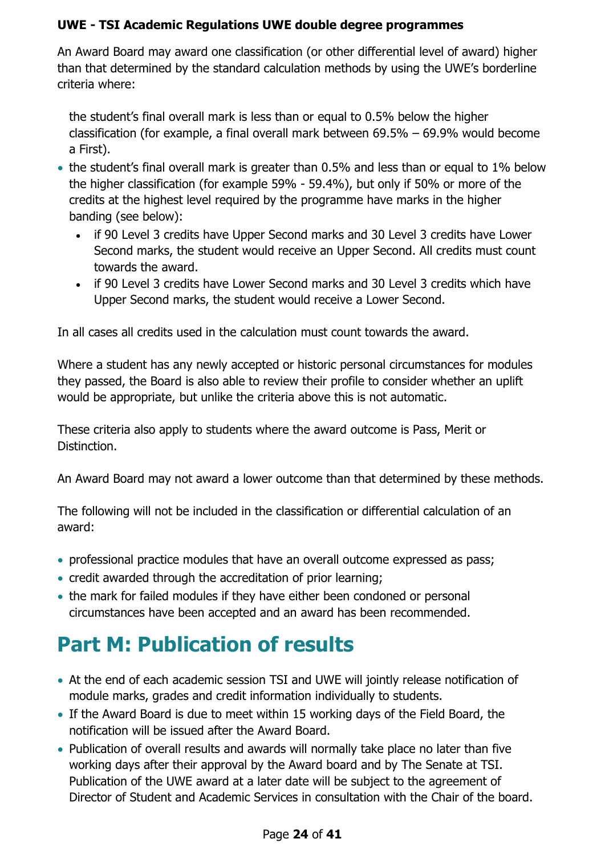An Award Board may award one classification (or other differential level of award) higher than that determined by the standard calculation methods by using the UWE's borderline criteria where:

the student's final overall mark is less than or equal to 0.5% below the higher classification (for example, a final overall mark between 69.5% – 69.9% would become a First).

- the student's final overall mark is greater than 0.5% and less than or equal to 1% below the higher classification (for example 59% - 59.4%), but only if 50% or more of the credits at the highest level required by the programme have marks in the higher banding (see below):
	- if 90 Level 3 credits have Upper Second marks and 30 Level 3 credits have Lower Second marks, the student would receive an Upper Second. All credits must count towards the award.
	- if 90 Level 3 credits have Lower Second marks and 30 Level 3 credits which have Upper Second marks, the student would receive a Lower Second.

In all cases all credits used in the calculation must count towards the award.

Where a student has any newly accepted or historic personal circumstances for modules they passed, the Board is also able to review their profile to consider whether an uplift would be appropriate, but unlike the criteria above this is not automatic.

These criteria also apply to students where the award outcome is Pass, Merit or Distinction.

An Award Board may not award a lower outcome than that determined by these methods.

The following will not be included in the classification or differential calculation of an award:

- professional practice modules that have an overall outcome expressed as pass;
- credit awarded through the accreditation of prior learning;
- the mark for failed modules if they have either been condoned or personal circumstances have been accepted and an award has been recommended.

## <span id="page-23-0"></span>**Part M: Publication of results**

- At the end of each academic session TSI and UWE will jointly release notification of module marks, grades and credit information individually to students.
- If the Award Board is due to meet within 15 working days of the Field Board, the notification will be issued after the Award Board.
- Publication of overall results and awards will normally take place no later than five working days after their approval by the Award board and by The Senate at TSI. Publication of the UWE award at a later date will be subject to the agreement of Director of Student and Academic Services in consultation with the Chair of the board.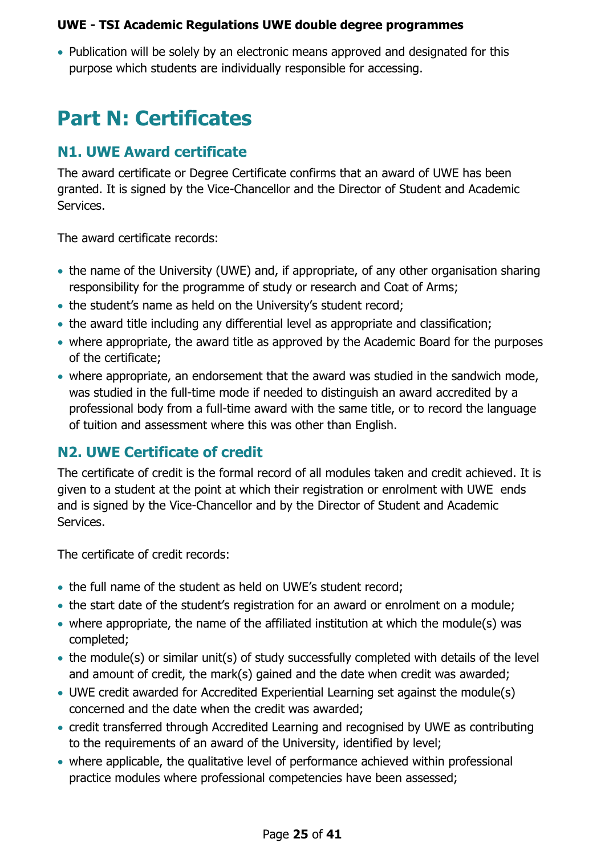• Publication will be solely by an electronic means approved and designated for this purpose which students are individually responsible for accessing.

## <span id="page-24-0"></span>**Part N: Certificates**

## <span id="page-24-1"></span>**N1. UWE Award certificate**

The award certificate or Degree Certificate confirms that an award of UWE has been granted. It is signed by the Vice-Chancellor and the Director of Student and Academic Services.

The award certificate records:

- the name of the University (UWE) and, if appropriate, of any other organisation sharing responsibility for the programme of study or research and Coat of Arms;
- the student's name as held on the University's student record;
- the award title including any differential level as appropriate and classification;
- where appropriate, the award title as approved by the Academic Board for the purposes of the certificate;
- where appropriate, an endorsement that the award was studied in the sandwich mode, was studied in the full-time mode if needed to distinguish an award accredited by a professional body from a full-time award with the same title, or to record the language of tuition and assessment where this was other than English.

## <span id="page-24-2"></span>**N2. UWE Certificate of credit**

The certificate of credit is the formal record of all modules taken and credit achieved. It is given to a student at the point at which their registration or enrolment with UWE ends and is signed by the Vice-Chancellor and by the Director of Student and Academic Services.

The certificate of credit records:

- the full name of the student as held on UWE's student record;
- the start date of the student's registration for an award or enrolment on a module;
- where appropriate, the name of the affiliated institution at which the module(s) was completed;
- the module(s) or similar unit(s) of study successfully completed with details of the level and amount of credit, the mark(s) gained and the date when credit was awarded;
- UWE credit awarded for Accredited Experiential Learning set against the module(s) concerned and the date when the credit was awarded;
- credit transferred through Accredited Learning and recognised by UWE as contributing to the requirements of an award of the University, identified by level;
- where applicable, the qualitative level of performance achieved within professional practice modules where professional competencies have been assessed;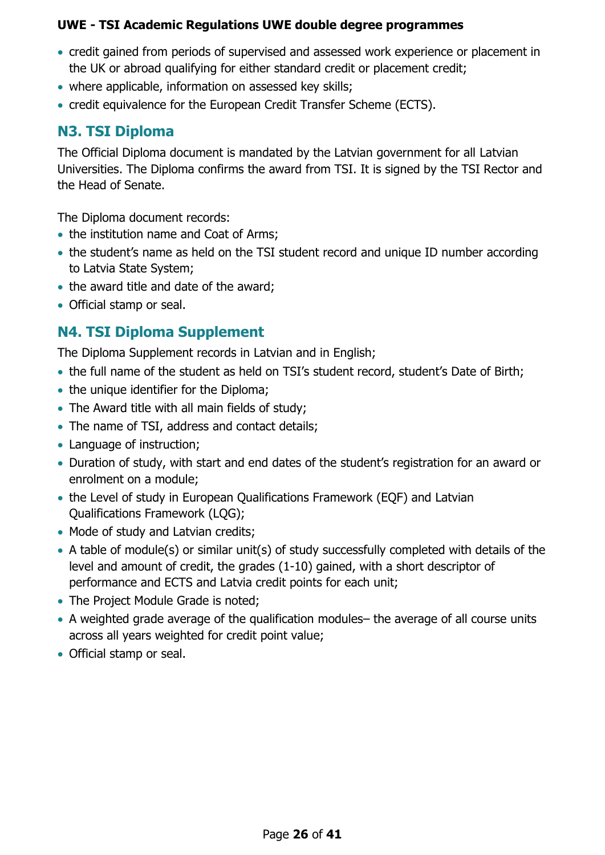- credit gained from periods of supervised and assessed work experience or placement in the UK or abroad qualifying for either standard credit or placement credit;
- where applicable, information on assessed key skills;
- credit equivalence for the European Credit Transfer Scheme (ECTS).

## <span id="page-25-0"></span>**N3. TSI Diploma**

The Official Diploma document is mandated by the Latvian government for all Latvian Universities. The Diploma confirms the award from TSI. It is signed by the TSI Rector and the Head of Senate.

The Diploma document records:

- the institution name and Coat of Arms;
- the student's name as held on the TSI student record and unique ID number according to Latvia State System;
- the award title and date of the award;
- Official stamp or seal.

## <span id="page-25-1"></span>**N4. TSI Diploma Supplement**

The Diploma Supplement records in Latvian and in English;

- the full name of the student as held on TSI's student record, student's Date of Birth;
- the unique identifier for the Diploma;
- The Award title with all main fields of study;
- The name of TSI, address and contact details;
- Language of instruction:
- Duration of study, with start and end dates of the student's registration for an award or enrolment on a module;
- the Level of study in European Qualifications Framework (EQF) and Latvian Qualifications Framework (LQG);
- Mode of study and Latvian credits;
- A table of module(s) or similar unit(s) of study successfully completed with details of the level and amount of credit, the grades (1-10) gained, with a short descriptor of performance and ECTS and Latvia credit points for each unit;
- The Project Module Grade is noted;
- A weighted grade average of the qualification modules– the average of all course units across all years weighted for credit point value;
- Official stamp or seal.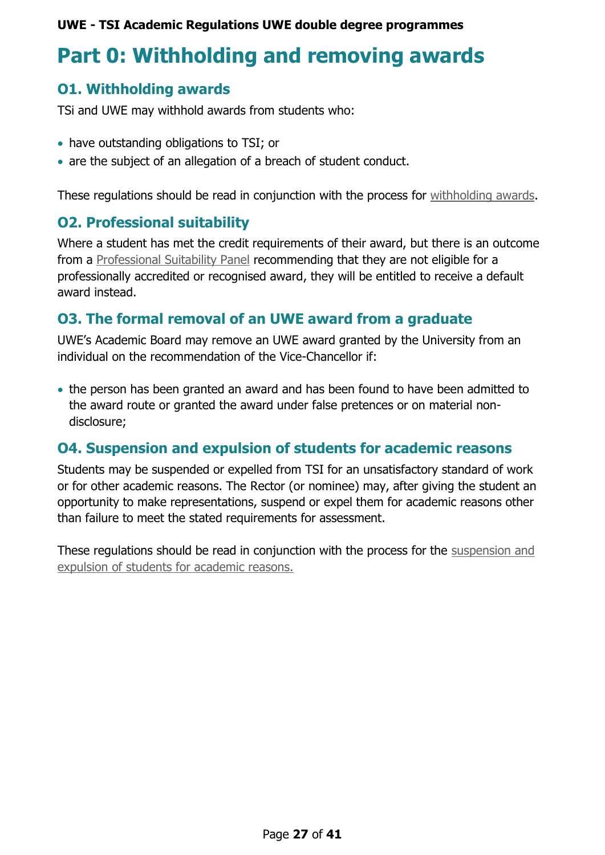## <span id="page-26-0"></span>**Part 0: Withholding and removing awards**

## <span id="page-26-1"></span>**O1. Withholding awards**

TSi and UWE may withhold awards from students who:

- have outstanding obligations to TSI; or
- are the subject of an allegation of a breach of student conduct.

These regulations should be read in conjunction with the process for [withholding awards.](https://www1.uwe.ac.uk/about/departmentsandservices/professionalservices/academicservices/regulationsandquality/regulationsandprocedures/withholdingawards.aspx)

## <span id="page-26-2"></span>**O2. Professional suitability**

Where a student has met the credit requirements of their award, but there is an outcome from a [Professional Suitability Panel](http://www2.uwe.ac.uk/services/Marketing/about-us/pdf/professional-suitability-and-conduct-procedure.pdf) recommending that they are not eligible for a professionally accredited or recognised award, they will be entitled to receive a default award instead.

## <span id="page-26-3"></span>**O3. The formal removal of an UWE award from a graduate**

UWE's Academic Board may remove an UWE award granted by the University from an individual on the recommendation of the Vice-Chancellor if:

• the person has been granted an award and has been found to have been admitted to the award route or granted the award under false pretences or on material nondisclosure;

## <span id="page-26-4"></span>**O4. Suspension and expulsion of students for academic reasons**

Students may be suspended or expelled from TSI for an unsatisfactory standard of work or for other academic reasons. The Rector (or nominee) may, after giving the student an opportunity to make representations, suspend or expel them for academic reasons other than failure to meet the stated requirements for assessment.

These regulations should be read in conjunction with the process for the [suspension and](https://www.uwe.ac.uk/study/academic-information/suspend-transfer-or-withdraw/suspension-and-expulsion)  [expulsion of students for academic reasons.](https://www.uwe.ac.uk/study/academic-information/suspend-transfer-or-withdraw/suspension-and-expulsion)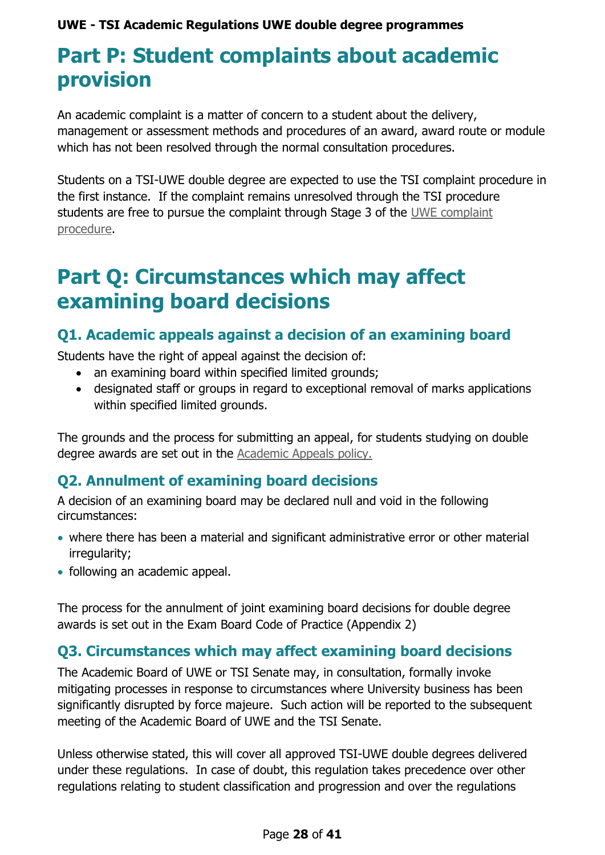## <span id="page-27-0"></span>**Part P: Student complaints about academic provision**

An academic complaint is a matter of concern to a student about the delivery, management or assessment methods and procedures of an award, award route or module which has not been resolved through the normal consultation procedures.

Students on a TSI-UWE double degree are expected to use the TSI complaint procedure in the first instance. If the complaint remains unresolved through the TSI procedure students are free to pursue the complaint through Stage 3 of the UWE [complaint](https://www.uwe.ac.uk/about/contact-us/complaints)  [procedure.](https://www.uwe.ac.uk/about/contact-us/complaints)

## <span id="page-27-1"></span>**Part Q: Circumstances which may affect examining board decisions**

## <span id="page-27-2"></span>**Q1. Academic appeals against a decision of an examining board**

Students have the right of appeal against the decision of:

- an examining board within specified limited grounds;
- designated staff or groups in regard to exceptional removal of marks applications within specified limited grounds.

The grounds and the process for submitting an appeal, for students studying on double degree awards are set out in the [Academic Appeals policy.](https://www1.uwe.ac.uk/students/academicadvice/academicappeals.aspx)

## <span id="page-27-3"></span>**Q2. Annulment of examining board decisions**

A decision of an examining board may be declared null and void in the following circumstances:

- where there has been a material and significant administrative error or other material irregularity;
- following an academic appeal.

The process for the annulment of joint examining board decisions for double degree awards is set out in the Exam Board Code of Practice (Appendix 2)

## <span id="page-27-4"></span>**Q3. Circumstances which may affect examining board decisions**

The Academic Board of UWE or TSI Senate may, in consultation, formally invoke mitigating processes in response to circumstances where University business has been significantly disrupted by force majeure. Such action will be reported to the subsequent meeting of the Academic Board of UWE and the TSI Senate.

Unless otherwise stated, this will cover all approved TSI-UWE double degrees delivered under these regulations. In case of doubt, this regulation takes precedence over other regulations relating to student classification and progression and over the regulations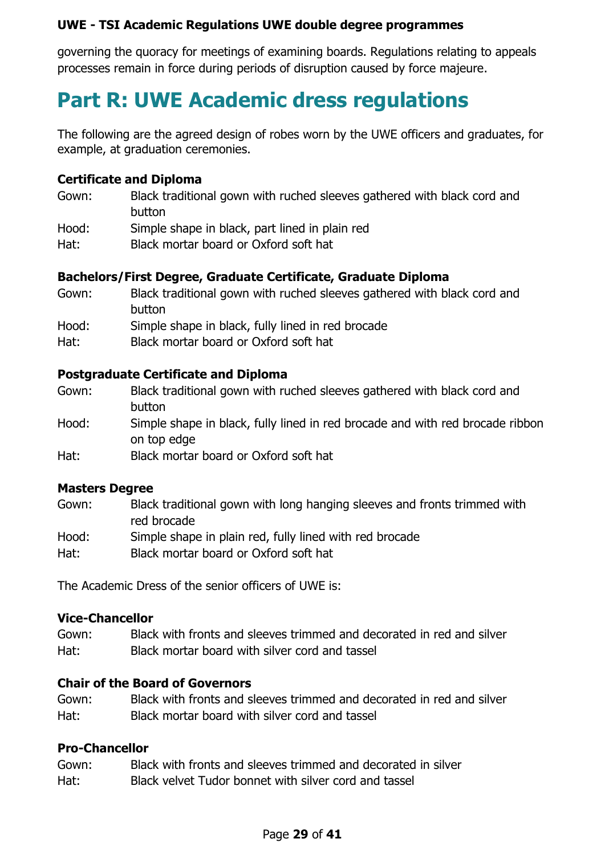governing the quoracy for meetings of examining boards. Regulations relating to appeals processes remain in force during periods of disruption caused by force majeure.

## <span id="page-28-0"></span>**Part R: UWE Academic dress regulations**

The following are the agreed design of robes worn by the UWE officers and graduates, for example, at graduation ceremonies.

#### **Certificate and Diploma**

Gown: Black traditional gown with ruched sleeves gathered with black cord and button Hood: Simple shape in black, part lined in plain red Hat: Black mortar board or Oxford soft hat

#### **Bachelors/First Degree, Graduate Certificate, Graduate Diploma**

- Gown: Black traditional gown with ruched sleeves gathered with black cord and button Hood: Simple shape in black, fully lined in red brocade
- Hat: Black mortar board or Oxford soft hat

#### **Postgraduate Certificate and Diploma**

Gown: Black traditional gown with ruched sleeves gathered with black cord and button Hood: Simple shape in black, fully lined in red brocade and with red brocade ribbon on top edge Hat: Black mortar board or Oxford soft hat

#### **Masters Degree**

- Gown: Black traditional gown with long hanging sleeves and fronts trimmed with red brocade Hood: Simple shape in plain red, fully lined with red brocade
- Hat: Black mortar board or Oxford soft hat

The Academic Dress of the senior officers of UWE is:

#### **Vice-Chancellor**

Gown: Black with fronts and sleeves trimmed and decorated in red and silver Hat: Black mortar board with silver cord and tassel

#### **Chair of the Board of Governors**

Gown: Black with fronts and sleeves trimmed and decorated in red and silver Hat: Black mortar board with silver cord and tassel

#### **Pro-Chancellor**

Gown: Black with fronts and sleeves trimmed and decorated in silver Hat: Black velvet Tudor bonnet with silver cord and tassel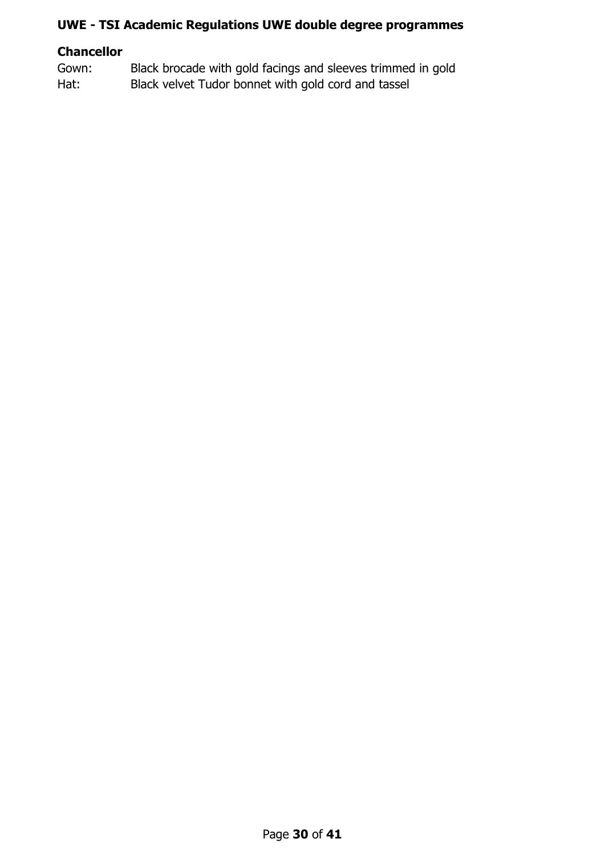## **Chancellor**

Gown: Black brocade with gold facings and sleeves trimmed in gold Hat: Black velvet Tudor bonnet with gold cord and tassel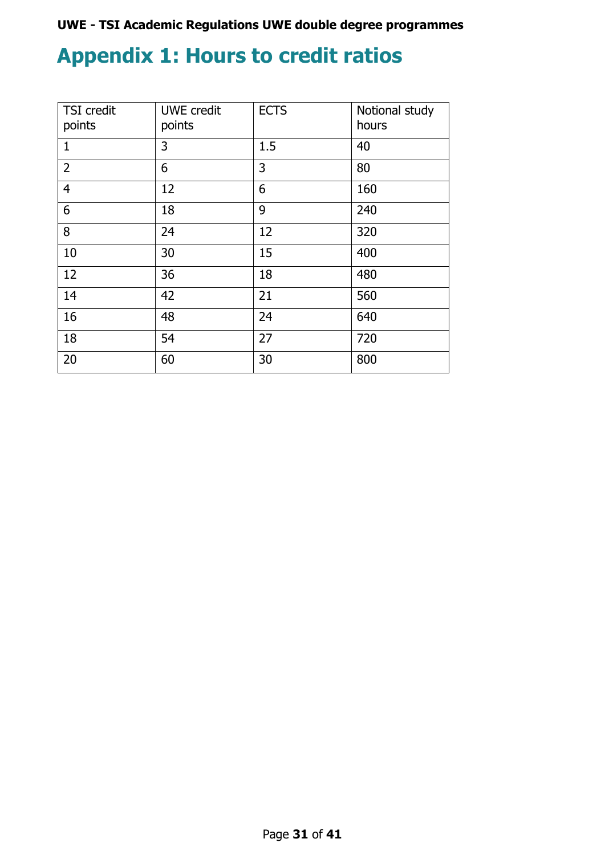## <span id="page-30-0"></span>**Appendix 1: Hours to credit ratios**

| <b>TSI</b> credit<br>points | <b>UWE</b> credit<br>points | <b>ECTS</b> | Notional study<br>hours |
|-----------------------------|-----------------------------|-------------|-------------------------|
| $\mathbf{1}$                | 3                           | 1.5         | 40                      |
| $\overline{2}$              | 6                           | 3           | 80                      |
| $\overline{4}$              | 12                          | 6           | 160                     |
| 6                           | 18                          | 9           | 240                     |
| 8                           | 24                          | 12          | 320                     |
| 10                          | 30                          | 15          | 400                     |
| 12                          | 36                          | 18          | 480                     |
| 14                          | 42                          | 21          | 560                     |
| 16                          | 48                          | 24          | 640                     |
| 18                          | 54                          | 27          | 720                     |
| 20                          | 60                          | 30          | 800                     |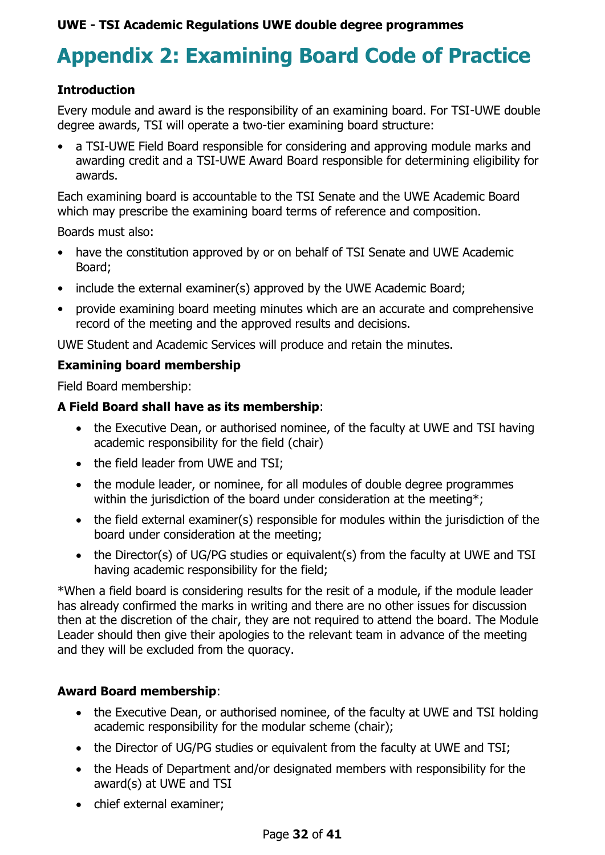## <span id="page-31-0"></span>**Appendix 2: Examining Board Code of Practice**

#### **Introduction**

Every module and award is the responsibility of an examining board. For TSI-UWE double degree awards, TSI will operate a two-tier examining board structure:

• a TSI-UWE Field Board responsible for considering and approving module marks and awarding credit and a TSI-UWE Award Board responsible for determining eligibility for awards.

Each examining board is accountable to the TSI Senate and the UWE Academic Board which may prescribe the examining board terms of reference and composition.

Boards must also:

- have the constitution approved by or on behalf of TSI Senate and UWE Academic Board;
- include the external examiner(s) approved by the UWE Academic Board;
- provide examining board meeting minutes which are an accurate and comprehensive record of the meeting and the approved results and decisions.

UWE Student and Academic Services will produce and retain the minutes.

#### **Examining board membership**

Field Board membership:

#### **A Field Board shall have as its membership**:

- the Executive Dean, or authorised nominee, of the faculty at UWE and TSI having academic responsibility for the field (chair)
- the field leader from UWE and TSI;
- the module leader, or nominee, for all modules of double degree programmes within the jurisdiction of the board under consideration at the meeting\*;
- the field external examiner(s) responsible for modules within the jurisdiction of the board under consideration at the meeting;
- the Director(s) of UG/PG studies or equivalent(s) from the faculty at UWE and TSI having academic responsibility for the field;

\*When a field board is considering results for the resit of a module, if the module leader has already confirmed the marks in writing and there are no other issues for discussion then at the discretion of the chair, they are not required to attend the board. The Module Leader should then give their apologies to the relevant team in advance of the meeting and they will be excluded from the quoracy.

#### **Award Board membership**:

- the Executive Dean, or authorised nominee, of the faculty at UWE and TSI holding academic responsibility for the modular scheme (chair);
- the Director of UG/PG studies or equivalent from the faculty at UWE and TSI;
- the Heads of Department and/or designated members with responsibility for the award(s) at UWE and TSI
- chief external examiner;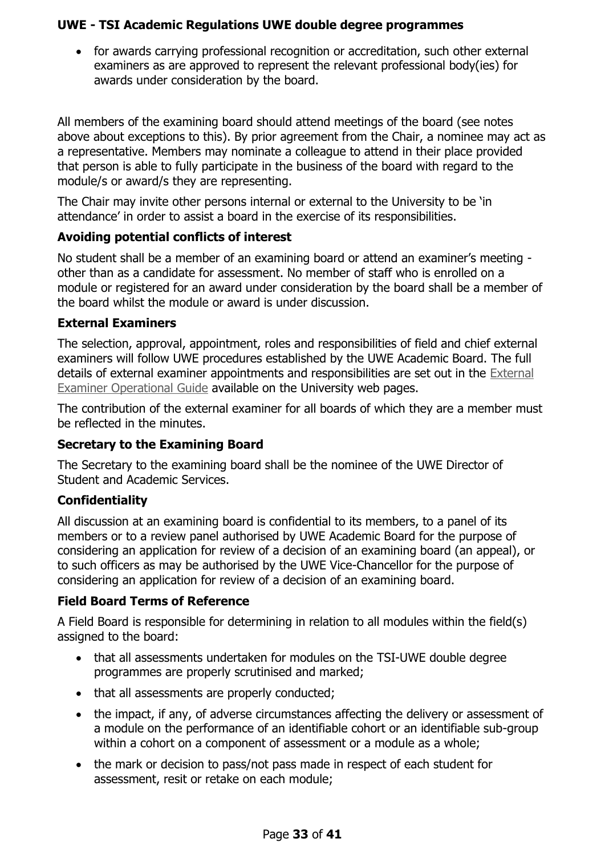• for awards carrying professional recognition or accreditation, such other external examiners as are approved to represent the relevant professional body(ies) for awards under consideration by the board.

All members of the examining board should attend meetings of the board (see notes above about exceptions to this). By prior agreement from the Chair, a nominee may act as a representative. Members may nominate a colleague to attend in their place provided that person is able to fully participate in the business of the board with regard to the module/s or award/s they are representing.

The Chair may invite other persons internal or external to the University to be 'in attendance' in order to assist a board in the exercise of its responsibilities.

### **Avoiding potential conflicts of interest**

No student shall be a member of an examining board or attend an examiner's meeting other than as a candidate for assessment. No member of staff who is enrolled on a module or registered for an award under consideration by the board shall be a member of the board whilst the module or award is under discussion.

### **External Examiners**

The selection, approval, appointment, roles and responsibilities of field and chief external examiners will follow UWE procedures established by the UWE Academic Board. The full details of external examiner appointments and responsibilities are set out in the [External](https://www.uwe.ac.uk/-/media/uwe/documents/study/ee-id-ex-exam-operational-guide.pdf)  [Examiner Operational](https://www.uwe.ac.uk/-/media/uwe/documents/study/ee-id-ex-exam-operational-guide.pdf) Guide available on the University web pages.

The contribution of the external examiner for all boards of which they are a member must be reflected in the minutes.

## **Secretary to the Examining Board**

The Secretary to the examining board shall be the nominee of the UWE Director of Student and Academic Services.

## **Confidentiality**

All discussion at an examining board is confidential to its members, to a panel of its members or to a review panel authorised by UWE Academic Board for the purpose of considering an application for review of a decision of an examining board (an appeal), or to such officers as may be authorised by the UWE Vice-Chancellor for the purpose of considering an application for review of a decision of an examining board.

## **Field Board Terms of Reference**

A Field Board is responsible for determining in relation to all modules within the field(s) assigned to the board:

- that all assessments undertaken for modules on the TSI-UWE double degree programmes are properly scrutinised and marked;
- that all assessments are properly conducted;
- the impact, if any, of adverse circumstances affecting the delivery or assessment of a module on the performance of an identifiable cohort or an identifiable sub-group within a cohort on a component of assessment or a module as a whole;
- the mark or decision to pass/not pass made in respect of each student for assessment, resit or retake on each module;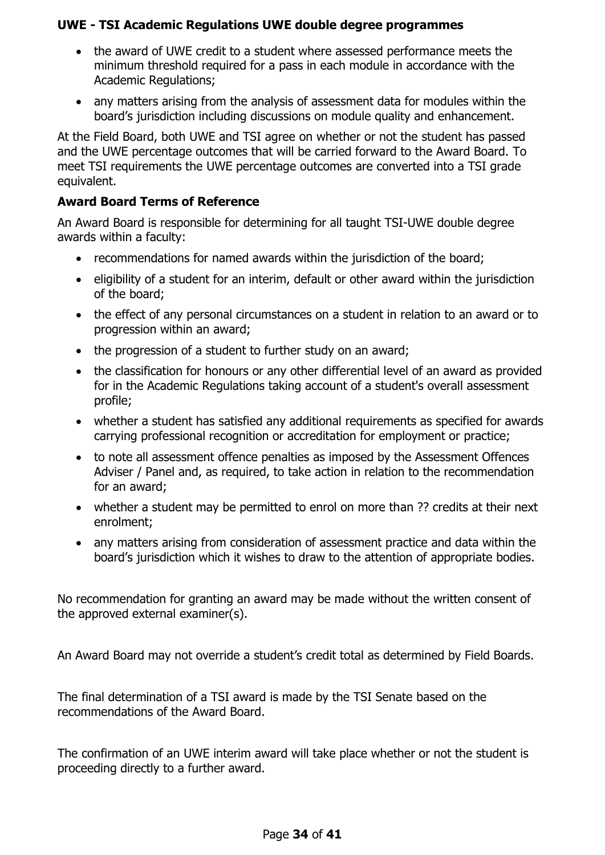- the award of UWE credit to a student where assessed performance meets the minimum threshold required for a pass in each module in accordance with the Academic Regulations;
- any matters arising from the analysis of assessment data for modules within the board's jurisdiction including discussions on module quality and enhancement.

At the Field Board, both UWE and TSI agree on whether or not the student has passed and the UWE percentage outcomes that will be carried forward to the Award Board. To meet TSI requirements the UWE percentage outcomes are converted into a TSI grade equivalent.

### **Award Board Terms of Reference**

An Award Board is responsible for determining for all taught TSI-UWE double degree awards within a faculty:

- recommendations for named awards within the jurisdiction of the board;
- eligibility of a student for an interim, default or other award within the jurisdiction of the board;
- the effect of any personal circumstances on a student in relation to an award or to progression within an award;
- the progression of a student to further study on an award;
- the classification for honours or any other differential level of an award as provided for in the Academic Regulations taking account of a student's overall assessment profile;
- whether a student has satisfied any additional requirements as specified for awards carrying professional recognition or accreditation for employment or practice;
- to note all assessment offence penalties as imposed by the Assessment Offences Adviser / Panel and, as required, to take action in relation to the recommendation for an award;
- whether a student may be permitted to enrol on more than ?? credits at their next enrolment;
- any matters arising from consideration of assessment practice and data within the board's jurisdiction which it wishes to draw to the attention of appropriate bodies.

No recommendation for granting an award may be made without the written consent of the approved external examiner(s).

An Award Board may not override a student's credit total as determined by Field Boards.

The final determination of a TSI award is made by the TSI Senate based on the recommendations of the Award Board.

The confirmation of an UWE interim award will take place whether or not the student is proceeding directly to a further award.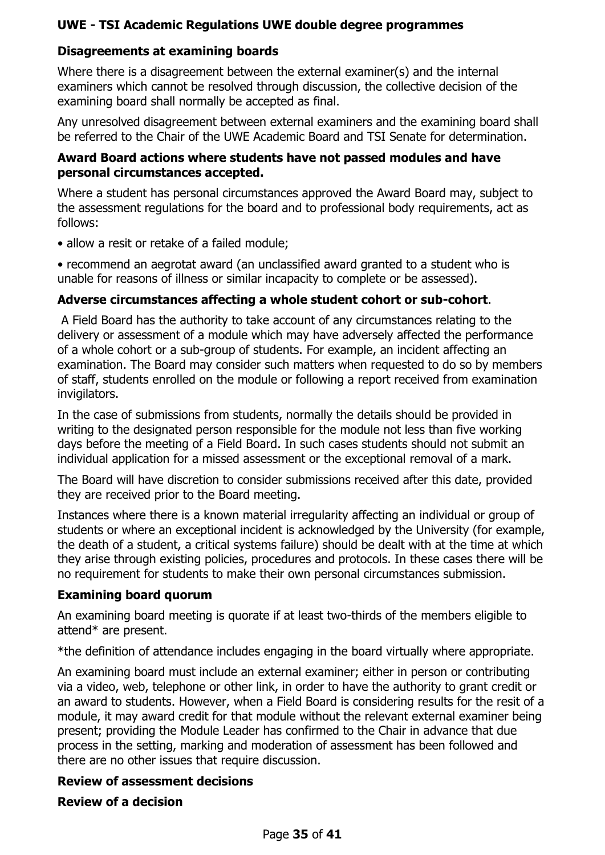## **Disagreements at examining boards**

Where there is a disagreement between the external examiner(s) and the internal examiners which cannot be resolved through discussion, the collective decision of the examining board shall normally be accepted as final.

Any unresolved disagreement between external examiners and the examining board shall be referred to the Chair of the UWE Academic Board and TSI Senate for determination.

#### **Award Board actions where students have not passed modules and have personal circumstances accepted.**

Where a student has personal circumstances approved the Award Board may, subject to the assessment regulations for the board and to professional body requirements, act as follows:

• allow a resit or retake of a failed module:

• recommend an aegrotat award (an unclassified award granted to a student who is unable for reasons of illness or similar incapacity to complete or be assessed).

#### **Adverse circumstances affecting a whole student cohort or sub-cohort**.

A Field Board has the authority to take account of any circumstances relating to the delivery or assessment of a module which may have adversely affected the performance of a whole cohort or a sub-group of students. For example, an incident affecting an examination. The Board may consider such matters when requested to do so by members of staff, students enrolled on the module or following a report received from examination invigilators.

In the case of submissions from students, normally the details should be provided in writing to the designated person responsible for the module not less than five working days before the meeting of a Field Board. In such cases students should not submit an individual application for a missed assessment or the exceptional removal of a mark.

The Board will have discretion to consider submissions received after this date, provided they are received prior to the Board meeting.

Instances where there is a known material irregularity affecting an individual or group of students or where an exceptional incident is acknowledged by the University (for example, the death of a student, a critical systems failure) should be dealt with at the time at which they arise through existing policies, procedures and protocols. In these cases there will be no requirement for students to make their own personal circumstances submission.

#### **Examining board quorum**

An examining board meeting is quorate if at least two-thirds of the members eligible to attend\* are present.

\*the definition of attendance includes engaging in the board virtually where appropriate.

An examining board must include an external examiner; either in person or contributing via a video, web, telephone or other link, in order to have the authority to grant credit or an award to students. However, when a Field Board is considering results for the resit of a module, it may award credit for that module without the relevant external examiner being present; providing the Module Leader has confirmed to the Chair in advance that due process in the setting, marking and moderation of assessment has been followed and there are no other issues that require discussion.

#### **Review of assessment decisions**

#### **Review of a decision**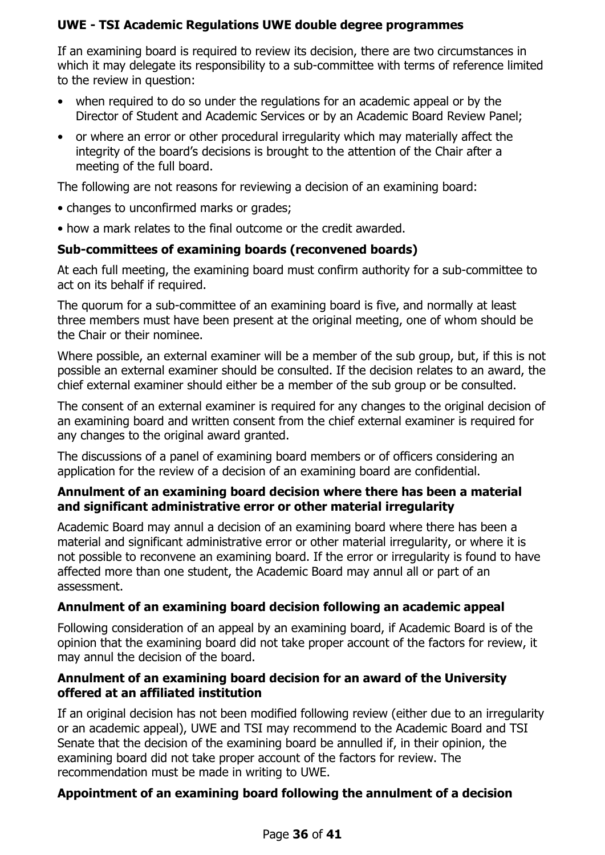If an examining board is required to review its decision, there are two circumstances in which it may delegate its responsibility to a sub-committee with terms of reference limited to the review in question:

- when required to do so under the regulations for an academic appeal or by the Director of Student and Academic Services or by an Academic Board Review Panel;
- or where an error or other procedural irregularity which may materially affect the integrity of the board's decisions is brought to the attention of the Chair after a meeting of the full board.

The following are not reasons for reviewing a decision of an examining board:

- changes to unconfirmed marks or grades;
- how a mark relates to the final outcome or the credit awarded.

## **Sub-committees of examining boards (reconvened boards)**

At each full meeting, the examining board must confirm authority for a sub-committee to act on its behalf if required.

The quorum for a sub-committee of an examining board is five, and normally at least three members must have been present at the original meeting, one of whom should be the Chair or their nominee.

Where possible, an external examiner will be a member of the sub group, but, if this is not possible an external examiner should be consulted. If the decision relates to an award, the chief external examiner should either be a member of the sub group or be consulted.

The consent of an external examiner is required for any changes to the original decision of an examining board and written consent from the chief external examiner is required for any changes to the original award granted.

The discussions of a panel of examining board members or of officers considering an application for the review of a decision of an examining board are confidential.

### **Annulment of an examining board decision where there has been a material and significant administrative error or other material irregularity**

Academic Board may annul a decision of an examining board where there has been a material and significant administrative error or other material irregularity, or where it is not possible to reconvene an examining board. If the error or irregularity is found to have affected more than one student, the Academic Board may annul all or part of an assessment.

## **Annulment of an examining board decision following an academic appeal**

Following consideration of an appeal by an examining board, if Academic Board is of the opinion that the examining board did not take proper account of the factors for review, it may annul the decision of the board.

### **Annulment of an examining board decision for an award of the University offered at an affiliated institution**

If an original decision has not been modified following review (either due to an irregularity or an academic appeal), UWE and TSI may recommend to the Academic Board and TSI Senate that the decision of the examining board be annulled if, in their opinion, the examining board did not take proper account of the factors for review. The recommendation must be made in writing to UWE.

## **Appointment of an examining board following the annulment of a decision**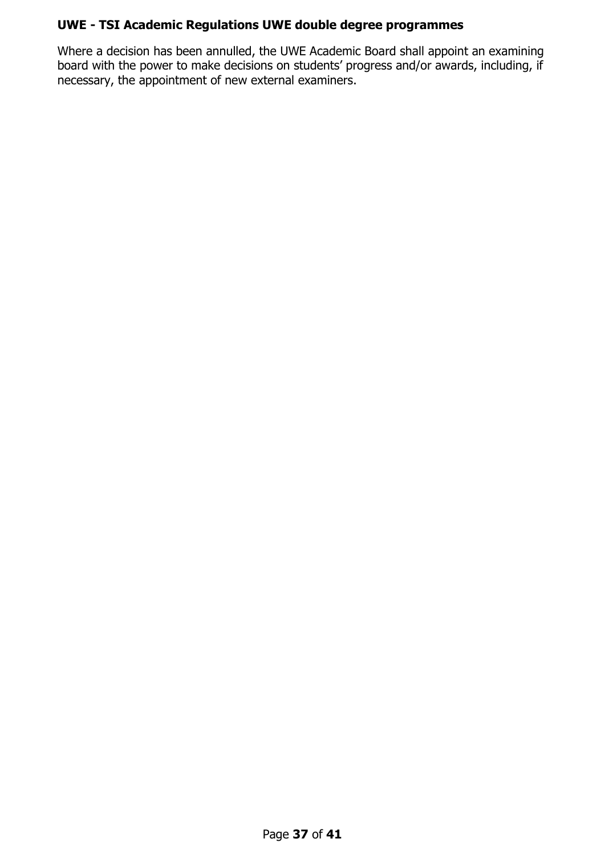Where a decision has been annulled, the UWE Academic Board shall appoint an examining board with the power to make decisions on students' progress and/or awards, including, if necessary, the appointment of new external examiners.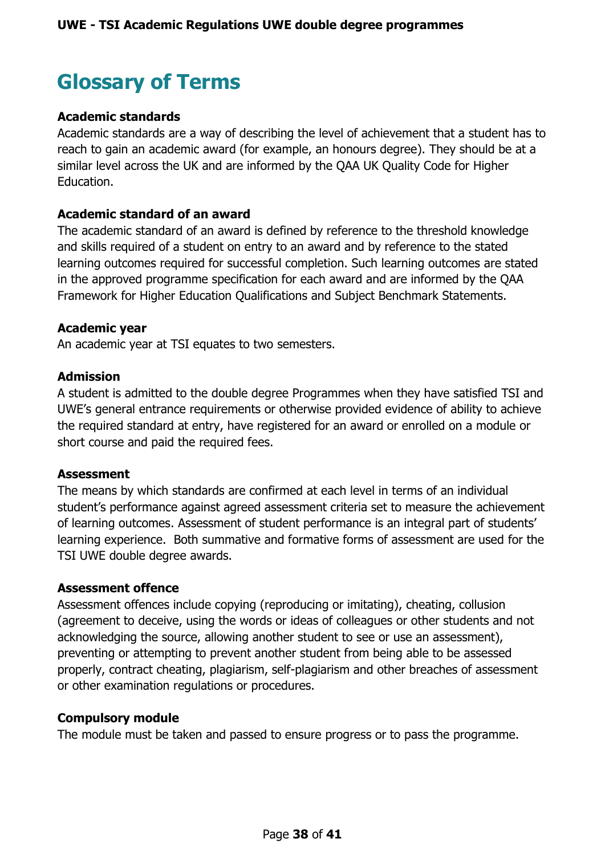## <span id="page-37-0"></span>**Glossary of Terms**

#### **Academic standards**

Academic standards are a way of describing the level of achievement that a student has to reach to gain an academic award (for example, an honours degree). They should be at a similar level across the UK and are informed by the QAA UK Quality Code for Higher Education.

#### **Academic standard of an award**

The academic standard of an award is defined by reference to the threshold knowledge and skills required of a student on entry to an award and by reference to the stated learning outcomes required for successful completion. Such learning outcomes are stated in the approved programme specification for each award and are informed by the QAA Framework for Higher Education Qualifications and Subject Benchmark Statements.

#### **Academic year**

An academic year at TSI equates to two semesters.

#### **Admission**

A student is admitted to the double degree Programmes when they have satisfied TSI and UWE's general entrance requirements or otherwise provided evidence of ability to achieve the required standard at entry, have registered for an award or enrolled on a module or short course and paid the required fees.

#### **Assessment**

The means by which standards are confirmed at each level in terms of an individual student's performance against agreed assessment criteria set to measure the achievement of learning outcomes. Assessment of student performance is an integral part of students' learning experience. Both summative and formative forms of assessment are used for the TSI UWE double degree awards.

#### **Assessment offence**

Assessment offences include copying (reproducing or imitating), cheating, collusion (agreement to deceive, using the words or ideas of colleagues or other students and not acknowledging the source, allowing another student to see or use an assessment), preventing or attempting to prevent another student from being able to be assessed properly, contract cheating, plagiarism, self-plagiarism and other breaches of assessment or other examination regulations or procedures.

#### **Compulsory module**

The module must be taken and passed to ensure progress or to pass the programme.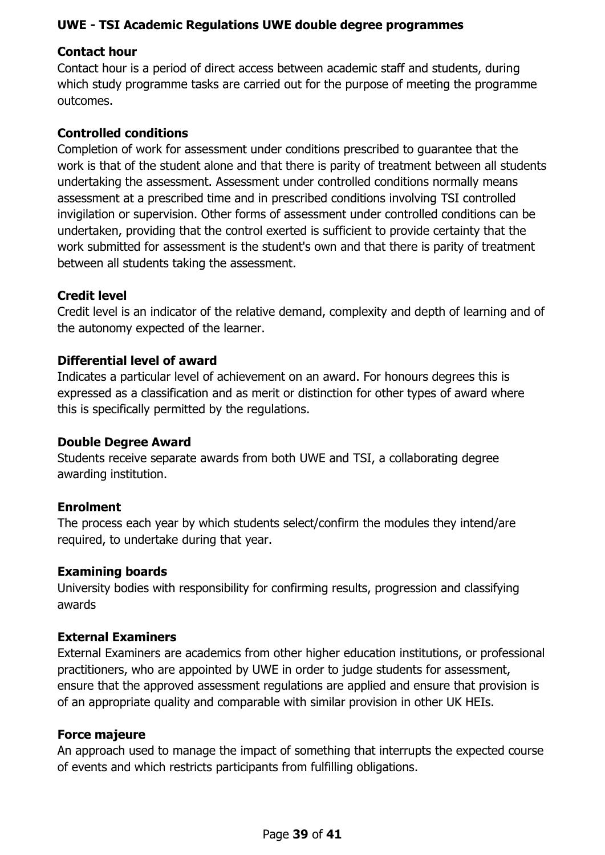## **Contact hour**

Contact hour is a period of direct access between academic staff and students, during which study programme tasks are carried out for the purpose of meeting the programme outcomes.

#### **Controlled conditions**

Completion of work for assessment under conditions prescribed to guarantee that the work is that of the student alone and that there is parity of treatment between all students undertaking the assessment. Assessment under controlled conditions normally means assessment at a prescribed time and in prescribed conditions involving TSI controlled invigilation or supervision. Other forms of assessment under controlled conditions can be undertaken, providing that the control exerted is sufficient to provide certainty that the work submitted for assessment is the student's own and that there is parity of treatment between all students taking the assessment.

#### **Credit level**

Credit level is an indicator of the relative demand, complexity and depth of learning and of the autonomy expected of the learner.

### **Differential level of award**

Indicates a particular level of achievement on an award. For honours degrees this is expressed as a classification and as merit or distinction for other types of award where this is specifically permitted by the regulations.

#### **Double Degree Award**

Students receive separate awards from both UWE and TSI, a collaborating degree awarding institution.

#### **Enrolment**

The process each year by which students select/confirm the modules they intend/are required, to undertake during that year.

#### **Examining boards**

University bodies with responsibility for confirming results, progression and classifying awards

#### **External Examiners**

External Examiners are academics from other higher education institutions, or professional practitioners, who are appointed by UWE in order to judge students for assessment, ensure that the approved assessment regulations are applied and ensure that provision is of an appropriate quality and comparable with similar provision in other UK HEIs.

#### **Force majeure**

An approach used to manage the impact of something that interrupts the expected course of events and which restricts participants from fulfilling obligations.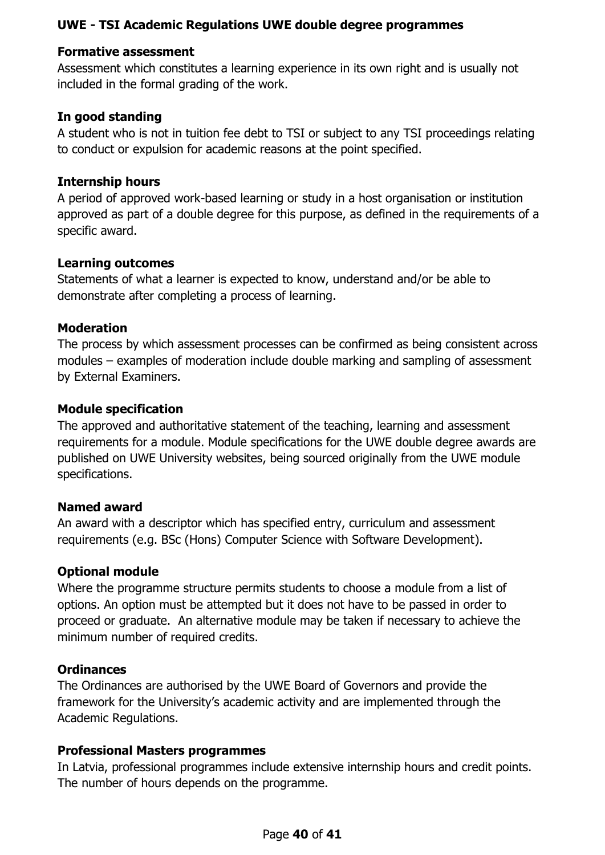#### **Formative assessment**

Assessment which constitutes a learning experience in its own right and is usually not included in the formal grading of the work.

#### **In good standing**

A student who is not in tuition fee debt to TSI or subject to any TSI proceedings relating to conduct or expulsion for academic reasons at the point specified.

#### **Internship hours**

A period of approved work-based learning or study in a host organisation or institution approved as part of a double degree for this purpose, as defined in the requirements of a specific award.

### **Learning outcomes**

Statements of what a learner is expected to know, understand and/or be able to demonstrate after completing a process of learning.

### **Moderation**

The process by which assessment processes can be confirmed as being consistent across modules – examples of moderation include double marking and sampling of assessment by External Examiners.

### **Module specification**

The approved and authoritative statement of the teaching, learning and assessment requirements for a module. Module specifications for the UWE double degree awards are published on UWE University websites, being sourced originally from the UWE module specifications.

#### **Named award**

An award with a descriptor which has specified entry, curriculum and assessment requirements (e.g. BSc (Hons) Computer Science with Software Development).

#### **Optional module**

Where the programme structure permits students to choose a module from a list of options. An option must be attempted but it does not have to be passed in order to proceed or graduate. An alternative module may be taken if necessary to achieve the minimum number of required credits.

#### **Ordinances**

The Ordinances are authorised by the UWE Board of Governors and provide the framework for the University's academic activity and are implemented through the Academic Regulations.

#### **Professional Masters programmes**

In Latvia, professional programmes include extensive internship hours and credit points. The number of hours depends on the programme.